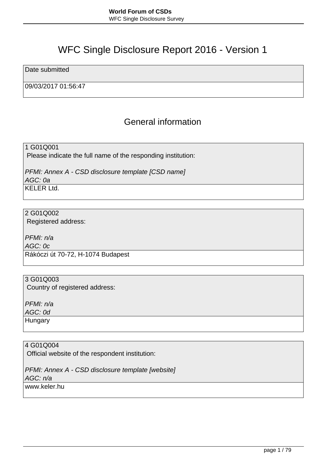# WFC Single Disclosure Report 2016 - Version 1

Date submitted

09/03/2017 01:56:47

## General information

1 G01Q001 Please indicate the full name of the responding institution:

PFMI: Annex A - CSD disclosure template [CSD name] AGC: 0a  $KFI$  FR  $I$  td.

2 G01Q002 Registered address:

PFMI: n/a AGC: 0c Rákóczi út 70-72, H-1074 Budapest

3 G01Q003 Country of registered address:

PFMI: n/a AGC: 0d **Hungary** 

4 G01Q004 Official website of the respondent institution:

PFMI: Annex A - CSD disclosure template [website] AGC: n/a www.keler.hu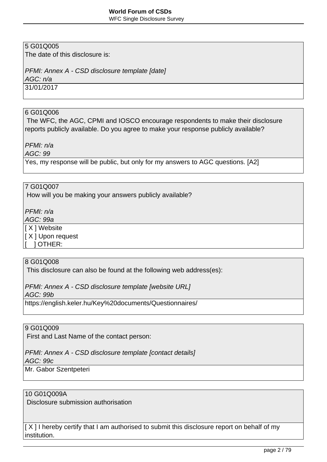WFC Single Disclosure Survey

## 5 G01Q005

The date of this disclosure is:

#### PFMI: Annex A - CSD disclosure template [date]

AGC: n/a

31/01/2017

#### 6 G01Q006

 The WFC, the AGC, CPMI and IOSCO encourage respondents to make their disclosure reports publicly available. Do you agree to make your response publicly available?

PFMI: n/a

AGC: 99

Yes, my response will be public, but only for my answers to AGC questions. [A2]

#### 7 G01Q007

How will you be making your answers publicly available?

PFMI: n/a

AGC: 99a

[ X ] Website

[ X ] Upon request

[ ] OTHER:

## 8 G01Q008

This disclosure can also be found at the following web address(es):

PFMI: Annex A - CSD disclosure template [website URL]

AGC: 99b

https://english.keler.hu/Key%20documents/Questionnaires/

#### 9 G01Q009

First and Last Name of the contact person:

## PFMI: Annex A - CSD disclosure template [contact details]

AGC: 99c

Mr. Gabor Szentpeteri

## 10 G01Q009A

Disclosure submission authorisation

[ $X$ ] I hereby certify that I am authorised to submit this disclosure report on behalf of my institution.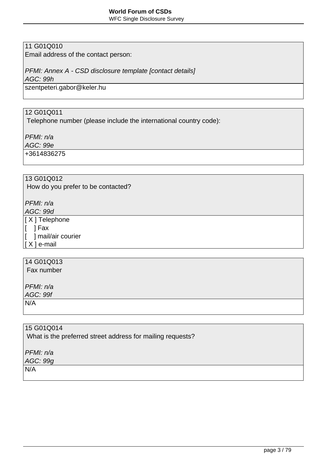WFC Single Disclosure Survey

## 11 G01Q010

Email address of the contact person:

## PFMI: Annex A - CSD disclosure template [contact details]

AGC: 99h

szentpeteri.gabor@keler.hu

## 12 G01Q011

Telephone number (please include the international country code):

PFMI: n/a

AGC: 99e

+3614836275

## 13 G01Q012

How do you prefer to be contacted?

PFMI: n/a

AGC: 99d [ X ] Telephone

 $\vert$ [ ] Fax

[ ] mail/air courier  $| X |$  e-mail

## 14 G01Q013

Fax number

PFMI: n/a

AGC: 99f

N/A

## 15 G01Q014

What is the preferred street address for mailing requests?

PFMI: n/a

AGC: 99g

N/A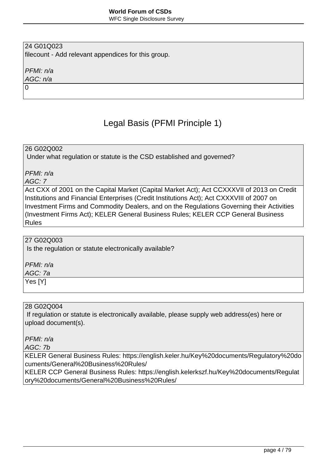WFC Single Disclosure Survey

## 24 G01Q023

filecount - Add relevant appendices for this group.

PFMI: n/a

AGC: n/a 0

# Legal Basis (PFMI Principle 1)

26 G02Q002

Under what regulation or statute is the CSD established and governed?

PFMI: n/a

AGC: 7

Act CXX of 2001 on the Capital Market (Capital Market Act); Act CCXXXVII of 2013 on Credit Institutions and Financial Enterprises (Credit Institutions Act); Act CXXXVIII of 2007 on Investment Firms and Commodity Dealers, and on the Regulations Governing their Activities (Investment Firms Act); KELER General Business Rules; KELER CCP General Business Rules

## 27 G02Q003

Is the regulation or statute electronically available?

PFMI: n/a

AGC: 7a

Yes [Y]

## 28 G02Q004

 If regulation or statute is electronically available, please supply web address(es) here or upload document(s).

### PFMI: n/a

AGC: 7b

KELER General Business Rules: https://english.keler.hu/Key%20documents/Regulatory%20do cuments/General%20Business%20Rules/

KELER CCP General Business Rules: https://english.kelerkszf.hu/Key%20documents/Regulat ory%20documents/General%20Business%20Rules/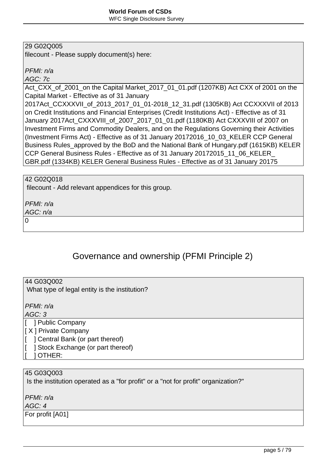#### 29 G02Q005

filecount - Please supply document(s) here:

PFMI: n/a

AGC: 7c

Act\_CXX\_of\_2001\_on the Capital Market\_2017\_01\_01.pdf (1207KB) Act CXX of 2001 on the Capital Market - Effective as of 31 January

2017Act\_CCXXXVII\_of\_2013\_2017\_01\_01-2018\_12\_31.pdf (1305KB) Act CCXXXVII of 2013 on Credit Institutions and Financial Enterprises (Credit Institutions Act) - Effective as of 31 January 2017Act\_CXXXVIII\_of\_2007\_2017\_01\_01.pdf (1180KB) Act CXXXVIII of 2007 on Investment Firms and Commodity Dealers, and on the Regulations Governing their Activities (Investment Firms Act) - Effective as of 31 January 20172016\_10\_03\_KELER CCP General Business Rules\_approved by the BoD and the National Bank of Hungary.pdf (1615KB) KELER CCP General Business Rules - Effective as of 31 January 20172015\_11\_06\_KELER\_ GBR.pdf (1334KB) KELER General Business Rules - Effective as of 31 January 20175

42 G02Q018

filecount - Add relevant appendices for this group.

PFMI: n/a

AGC: n/a

 $\Omega$ 

## Governance and ownership (PFMI Principle 2)

44 G03Q002

What type of legal entity is the institution?

PFMI: n/a

AGC: 3

[ ] Public Company

[ X ] Private Company

- [ ] Central Bank (or part thereof)
- [ ] Stock Exchange (or part thereof)
- [ ] OTHER:

#### 45 G03Q003

Is the institution operated as a "for profit" or a "not for profit" organization?"

PFMI: n/a

AGC: 4

For profit [A01]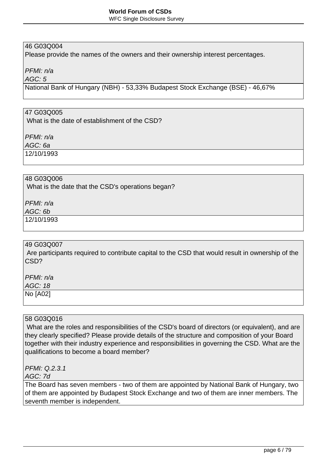## 46 G03Q004

Please provide the names of the owners and their ownership interest percentages.

PFMI: n/a

AGC: 5

National Bank of Hungary (NBH) - 53,33% Budapest Stock Exchange (BSE) - 46,67%

#### 47 G03Q005

What is the date of establishment of the CSD?

PFMI: n/a

AGC: 6a

12/10/1993

## 48 G03Q006

What is the date that the CSD's operations began?

PFMI: n/a

#### AGC: 6b

12/10/1993

#### 49 G03Q007

 Are participants required to contribute capital to the CSD that would result in ownership of the CSD?

PFMI: n/a

AGC: 18 No [A02]

#### 58 G03Q016

 What are the roles and responsibilities of the CSD's board of directors (or equivalent), and are they clearly specified? Please provide details of the structure and composition of your Board together with their industry experience and responsibilities in governing the CSD. What are the qualifications to become a board member?

PFMI: Q.2.3.1

AGC: 7d

The Board has seven members - two of them are appointed by National Bank of Hungary, two of them are appointed by Budapest Stock Exchange and two of them are inner members. The seventh member is independent.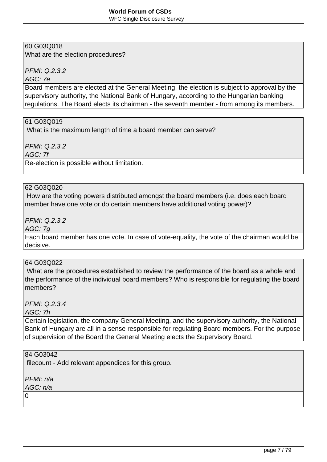#### **World Forum of CSDs** WFC Single Disclosure Survey

## 60 G03Q018

What are the election procedures?

PFMI: Q.2.3.2

AGC: 7e

Board members are elected at the General Meeting, the election is subject to approval by the supervisory authority, the National Bank of Hungary, according to the Hungarian banking regulations. The Board elects its chairman - the seventh member - from among its members.

#### 61 G03Q019

What is the maximum length of time a board member can serve?

PFMI: Q.2.3.2

AGC: 7f

Re-election is possible without limitation.

#### 62 G03Q020

 How are the voting powers distributed amongst the board members (i.e. does each board member have one vote or do certain members have additional voting power)?

PFMI: Q.2.3.2

AGC: 7g

Each board member has one vote. In case of vote-equality, the vote of the chairman would be decisive.

#### 64 G03Q022

 What are the procedures established to review the performance of the board as a whole and the performance of the individual board members? Who is responsible for regulating the board members?

PFMI: Q.2.3.4

AGC: 7h

Certain legislation, the company General Meeting, and the supervisory authority, the National Bank of Hungary are all in a sense responsible for regulating Board members. For the purpose of supervision of the Board the General Meeting elects the Supervisory Board.

#### 84 G03042

filecount - Add relevant appendices for this group.

PFMI: n/a

AGC: n/a

 $\Omega$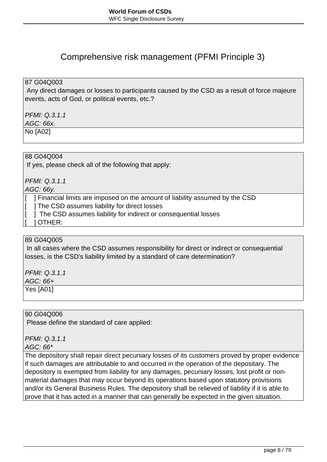## Comprehensive risk management (PFMI Principle 3)

#### 87 G04Q003

 Any direct damages or losses to participants caused by the CSD as a result of force majeure events, acts of God, or political events, etc.?

#### PFMI: Q.3.1.1

AGC: 66x.

No [A02]

#### 88 G04Q004

If yes, please check all of the following that apply:

PFMI: Q.3.1.1

AGC: 66y.

[ ] Financial limits are imposed on the amount of liability assumed by the CSD

[ ] The CSD assumes liability for direct losses

[  $\parallel$  ] The CSD assumes liability for indirect or consequential losses

[ ] OTHER:

## 89 G04Q005

 In all cases where the CSD assumes responsibility for direct or indirect or consequential losses, is the CSD's liability limited by a standard of care determination?

PFMI: Q.3.1.1

AGC: 66+

Yes [A01]

90 G04Q006

Please define the standard of care applied:

PFMI: Q.3.1.1

AGC: 66\*

The depository shall repair direct pecuniary losses of its customers proved by proper evidence if such damages are attributable to and occurred in the operation of the depositary. The depository is exempted from liability for any damages, pecuniary losses, lost profit or nonmaterial damages that may occur beyond its operations based upon statutory provisions and/or its General Business Rules. The depository shall be relieved of liability if it is able to prove that it has acted in a manner that can generally be expected in the given situation.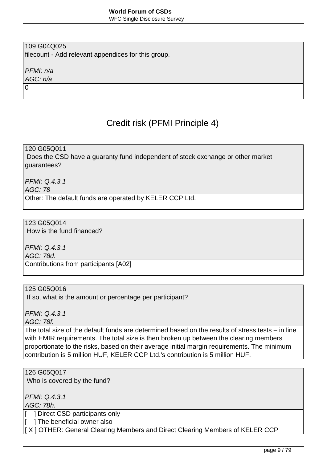WFC Single Disclosure Survey

## 109 G04Q025

filecount - Add relevant appendices for this group.

PFMI: n/a

AGC: n/a 0

# Credit risk (PFMI Principle 4)

120 G05Q011

 Does the CSD have a guaranty fund independent of stock exchange or other market guarantees?

PFMI: Q.4.3.1 AGC: 78

Other: The default funds are operated by KELER CCP Ltd.

123 G05Q014 How is the fund financed?

PFMI: Q.4.3.1

AGC: 78d.

Contributions from participants [A02]

#### 125 G05Q016

If so, what is the amount or percentage per participant?

PFMI: Q.4.3.1

AGC: 78f.

The total size of the default funds are determined based on the results of stress tests – in line with EMIR requirements. The total size is then broken up between the clearing members proportionate to the risks, based on their average initial margin requirements. The minimum contribution is 5 million HUF, KELER CCP Ltd.'s contribution is 5 million HUF.

#### 126 G05Q017

Who is covered by the fund?

PFMI: Q.4.3.1

AGC: 78h.

[ ] Direct CSD participants only

[ ] The beneficial owner also

[X] OTHER: General Clearing Members and Direct Clearing Members of KELER CCP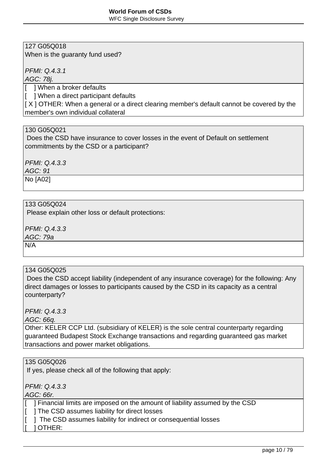WFC Single Disclosure Survey

## 127 G05Q018

When is the guaranty fund used?

PFMI: Q.4.3.1

AGC: 78j.

[ ] When a broker defaults

[ ] When a direct participant defaults

[ X ] OTHER: When a general or a direct clearing member's default cannot be covered by the member's own individual collateral

### 130 G05Q021

 Does the CSD have insurance to cover losses in the event of Default on settlement commitments by the CSD or a participant?

 $PEMI: Q.4.3.3$ AGC: 91

No [A02]

#### 133 G05Q024

Please explain other loss or default protections:

PFMI: Q.4.3.3

AGC: 79a

N/A

#### 134 G05Q025

 Does the CSD accept liability (independent of any insurance coverage) for the following: Any direct damages or losses to participants caused by the CSD in its capacity as a central counterparty?

#### $PEMI: Q.4.3.3$

AGC: 66q.

Other: KELER CCP Ltd. (subsidiary of KELER) is the sole central counterparty regarding guaranteed Budapest Stock Exchange transactions and regarding guaranteed gas market transactions and power market obligations.

#### 135 G05Q026

If yes, please check all of the following that apply:

PFMI: Q.4.3.3

AGC: 66r.

- [ ] Financial limits are imposed on the amount of liability assumed by the CSD
- [ ] The CSD assumes liability for direct losses
- [ ] The CSD assumes liability for indirect or consequential losses
- [ ] OTHER: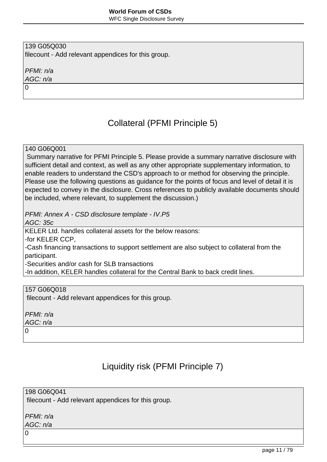139 G05Q030 filecount - Add relevant appendices for this group.

PFMI: n/a AGC: n/a

0

# Collateral (PFMI Principle 5)

140 G06Q001

 Summary narrative for PFMI Principle 5. Please provide a summary narrative disclosure with sufficient detail and context, as well as any other appropriate supplementary information, to enable readers to understand the CSD's approach to or method for observing the principle. Please use the following questions as guidance for the points of focus and level of detail it is expected to convey in the disclosure. Cross references to publicly available documents should be included, where relevant, to supplement the discussion.)

PFMI: Annex A - CSD disclosure template - IV.P5

AGC: 35c

KELER Ltd. handles collateral assets for the below reasons:

-for KELER CCP,

-Cash financing transactions to support settlement are also subject to collateral from the participant.

-Securities and/or cash for SLB transactions

-In addition, KELER handles collateral for the Central Bank to back credit lines.

157 G06Q018

filecount - Add relevant appendices for this group.

PFMI: n/a AGC: n/a

0

# Liquidity risk (PFMI Principle 7)

198 G06Q041

filecount - Add relevant appendices for this group.

PFMI: n/a AGC: n/a

 $\Omega$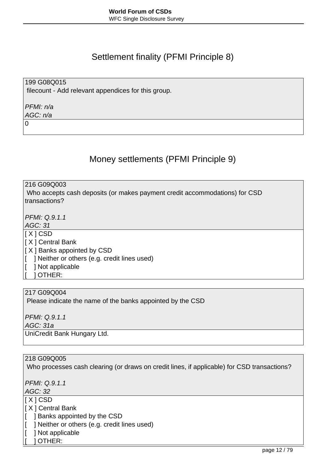## Settlement finality (PFMI Principle 8)

199 G08Q015 filecount - Add relevant appendices for this group.

PFMI: n/a AGC: n/a

0

# Money settlements (PFMI Principle 9)

216 G09Q003

 Who accepts cash deposits (or makes payment credit accommodations) for CSD transactions?

PFMI: Q.9.1.1

AGC: 31

[ X ] CSD

[ X ] Central Bank

[ X ] Banks appointed by CSD

[ ] Neither or others (e.g. credit lines used)

[ ] Not applicable

[ ] OTHER:

217 G09Q004

Please indicate the name of the banks appointed by the CSD

PFMI: Q.9.1.1

AGC: 31a

UniCredit Bank Hungary Ltd.

218 G09Q005

Who processes cash clearing (or draws on credit lines, if applicable) for CSD transactions?

PFMI: Q.9.1.1

AGC: 32

 $\overline{[X] CSD}$ 

[ X ] Central Bank

[ ] Banks appointed by the CSD

[ ] Neither or others (e.g. credit lines used)

[ ] Not applicable

[ ] OTHER: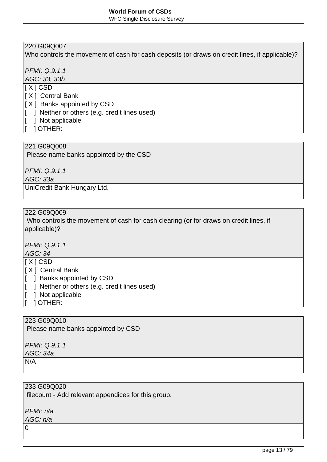## 220 G09Q007

Who controls the movement of cash for cash deposits (or draws on credit lines, if applicable)?

PFMI: Q.9.1.1

AGC: 33, 33b

- $[X]$  CSD
- [ X ] Central Bank
- [ X ] Banks appointed by CSD
- [ ] Neither or others (e.g. credit lines used)
- [ ] Not applicable
- [ ] OTHER:

## 221 G09Q008

Please name banks appointed by the CSD

PFMI: Q.9.1.1

AGC: 33a

UniCredit Bank Hungary Ltd.

#### 222 G09Q009

 Who controls the movement of cash for cash clearing (or for draws on credit lines, if applicable)?

PFMI: Q.9.1.1

#### AGC: 34

 $\overline{[X]$  CSD

- [ X ] Central Bank
- [ ] Banks appointed by CSD
- [ ] Neither or others (e.g. credit lines used)
- [ ] Not applicable
- [ ] OTHER:

#### 223 G09Q010

Please name banks appointed by CSD

PFMI: Q.9.1.1 AGC: 34a

N/A

233 G09Q020 filecount - Add relevant appendices for this group.

PFMI: n/a

AGC: n/a

0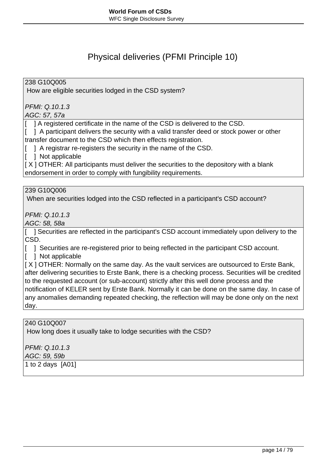## Physical deliveries (PFMI Principle 10)

238 G10Q005

How are eligible securities lodged in the CSD system?

PFMI: Q.10.1.3

AGC: 57, 57a

[ ] A registered certificate in the name of the CSD is delivered to the CSD.

[ ] A participant delivers the security with a valid transfer deed or stock power or other transfer document to the CSD which then effects registration.

[ ] A registrar re-registers the security in the name of the CSD.

[ ] Not applicable

[X] OTHER: All participants must deliver the securities to the depository with a blank endorsement in order to comply with fungibility requirements.

239 G10Q006

When are securities lodged into the CSD reflected in a participant's CSD account?

PFMI: Q.10.1.3

AGC: 58, 58a

[ ] Securities are reflected in the participant's CSD account immediately upon delivery to the CSD.

[  $\blacksquare$  ] Securities are re-registered prior to being reflected in the participant CSD account.

[ ] Not applicable

[X] OTHER: Normally on the same day. As the vault services are outsourced to Erste Bank, after delivering securities to Erste Bank, there is a checking process. Securities will be credited to the requested account (or sub-account) strictly after this well done process and the notification of KELER sent by Erste Bank. Normally it can be done on the same day. In case of any anomalies demanding repeated checking, the reflection will may be done only on the next day.

240 G10Q007

How long does it usually take to lodge securities with the CSD?

PFMI: Q.10.1.3

AGC: 59, 59b

1 to 2 days [A01]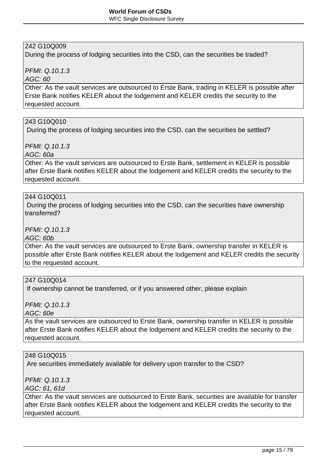## 242 G10Q009

During the process of lodging securities into the CSD, can the securities be traded?

PFMI: Q.10.1.3

AGC: 60

Other: As the vault services are outsourced to Erste Bank, trading in KELER is possible after Erste Bank notifies KELER about the lodgement and KELER credits the security to the requested account.

#### 243 G10Q010

During the process of lodging securities into the CSD, can the securities be settled?

PFMI: Q.10.1.3

AGC: 60a

Other: As the vault services are outsourced to Erste Bank, settlement in KELER is possible after Erste Bank notifies KELER about the lodgement and KELER credits the security to the requested account.

#### 244 G10Q011

 During the process of lodging securities into the CSD, can the securities have ownership transferred?

PFMI: Q.10.1.3

AGC: 60b

Other: As the vault services are outsourced to Erste Bank, ownership transfer in KELER is possible after Erste Bank notifies KELER about the lodgement and KELER credits the security to the requested account.

#### 247 G10Q014

If ownership cannot be transferred, or if you answered other, please explain

PFMI: Q.10.1.3

AGC: 60e

As the vault services are outsourced to Erste Bank, ownership transfer in KELER is possible after Erste Bank notifies KELER about the lodgement and KELER credits the security to the requested account.

#### 248 G10Q015

Are securities immediately available for delivery upon transfer to the CSD?

PFMI: Q.10.1.3

AGC: 61, 61d

Other: As the vault services are outsourced to Erste Bank, securities are available for transfer after Erste Bank notifies KELER about the lodgement and KELER credits the security to the requested account.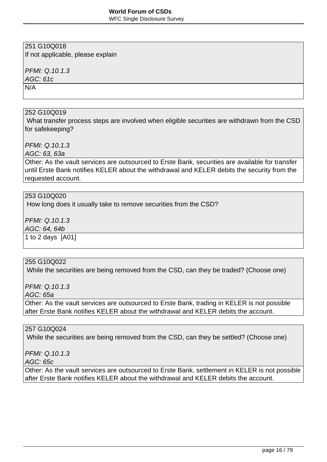WFC Single Disclosure Survey

## 251 G10Q018

If not applicable, please explain

PFMI: Q.10.1.3

AGC: 61c

N/A

### 252 G10Q019

 What transfer process steps are involved when eligible securities are withdrawn from the CSD for safekeeping?

## PFMI: Q.10.1.3

AGC: 63, 63a

Other: As the vault services are outsourced to Erste Bank, securities are available for transfer until Erste Bank notifies KELER about the withdrawal and KELER debits the security from the requested account.

#### 253 G10Q020

How long does it usually take to remove securities from the CSD?

 $PEMI: Q.10.1.3$ 

AGC: 64, 64b

1 to 2 days [A01]

## 255 G10Q022

While the securities are being removed from the CSD, can they be traded? (Choose one)

PFMI: Q.10.1.3

AGC: 65a

Other: As the vault services are outsourced to Erste Bank, trading in KELER is not possible after Erste Bank notifies KELER about the withdrawal and KELER debits the account.

#### 257 G10Q024

While the securities are being removed from the CSD, can they be settled? (Choose one)

PFMI: Q.10.1.3

AGC: 65c

Other: As the vault services are outsourced to Erste Bank, settlement in KELER is not possible after Erste Bank notifies KELER about the withdrawal and KELER debits the account.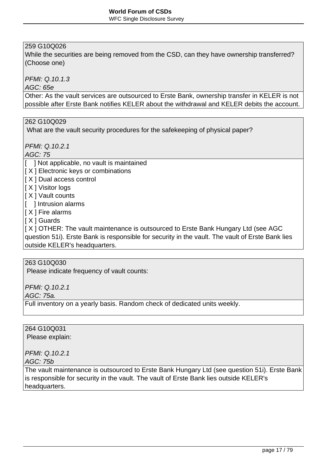## 259 G10Q026

While the securities are being removed from the CSD, can they have ownership transferred? (Choose one)

PFMI: Q.10.1.3

AGC: 65e

Other: As the vault services are outsourced to Erste Bank, ownership transfer in KELER is not possible after Erste Bank notifies KELER about the withdrawal and KELER debits the account.

262 G10Q029

What are the vault security procedures for the safekeeping of physical paper?

PFMI: Q.10.2.1

AGC: 75

- [ ] Not applicable, no vault is maintained
- [ X ] Electronic keys or combinations
- [ X ] Dual access control
- **I** X 1 Visitor logs
- $\vert$  [ X ] Vault counts
- [ ] Intrusion alarms
- $\vert$  [ X ] Fire alarms
- I X 1 Guards

[ X ] OTHER: The vault maintenance is outsourced to Erste Bank Hungary Ltd (see AGC question 51i). Erste Bank is responsible for security in the vault. The vault of Erste Bank lies outside KELER's headquarters.

#### 263 G10Q030

Please indicate frequency of vault counts:

PFMI: Q.10.2.1

AGC: 75a.

Full inventory on a yearly basis. Random check of dedicated units weekly.

264 G10Q031

Please explain:

PFMI: Q.10.2.1

AGC: 75b

The vault maintenance is outsourced to Erste Bank Hungary Ltd (see question 51i). Erste Bank is responsible for security in the vault. The vault of Erste Bank lies outside KELER's headquarters.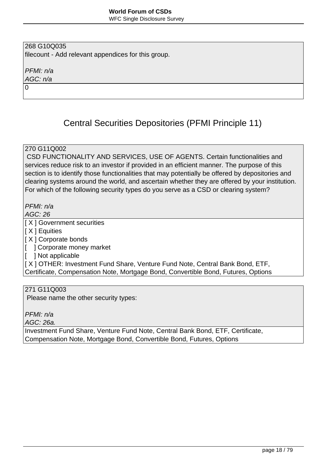#### 268 G10Q035 filecount - Add relevant appendices for this group.

PFMI: n/a

AGC: n/a 0

# Central Securities Depositories (PFMI Principle 11)

### 270 G11Q002

 CSD FUNCTIONALITY AND SERVICES, USE OF AGENTS. Certain functionalities and services reduce risk to an investor if provided in an efficient manner. The purpose of this section is to identify those functionalities that may potentially be offered by depositories and clearing systems around the world, and ascertain whether they are offered by your institution. For which of the following security types do you serve as a CSD or clearing system?

PFMI: n/a

AGC: 26

[ X ] Government securities

[ X ] Equities

[ X ] Corporate bonds

[ ] Corporate money market

[ ] Not applicable

[ X ] OTHER: Investment Fund Share, Venture Fund Note, Central Bank Bond, ETF, Certificate, Compensation Note, Mortgage Bond, Convertible Bond, Futures, Options

#### 271 G11Q003

Please name the other security types:

PFMI: n/a

AGC: 26a.

Investment Fund Share, Venture Fund Note, Central Bank Bond, ETF, Certificate, Compensation Note, Mortgage Bond, Convertible Bond, Futures, Options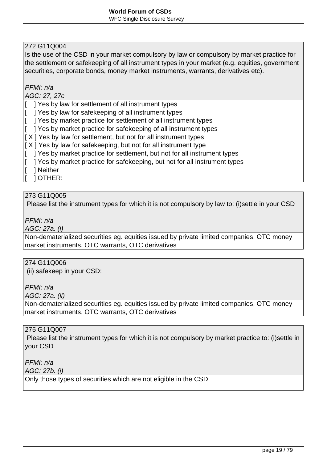Is the use of the CSD in your market compulsory by law or compulsory by market practice for the settlement or safekeeping of all instrument types in your market (e.g. equities, government securities, corporate bonds, money market instruments, warrants, derivatives etc).

#### PFMI: n/a

#### AGC: 27, 27c

[ ] Yes by law for settlement of all instrument types

[ ] Yes by law for safekeeping of all instrument types

[ ] Yes by market practice for settlement of all instrument types

[ ] Yes by market practice for safekeeping of all instrument types

 $[X]$  Yes by law for settlement, but not for all instrument types

 $[X]$  Yes by law for safekeeping, but not for all instrument type

[ ] Yes by market practice for settlement, but not for all instrument types

[ ] Yes by market practice for safekeeping, but not for all instrument types

[ ] Neither

[ ] OTHER:

#### 273 G11Q005

Please list the instrument types for which it is not compulsory by law to: (i)settle in your CSD

PFMI: n/a

AGC: 27a. (i)

Non-dematerialized securities eg. equities issued by private limited companies, OTC money market instruments, OTC warrants, OTC derivatives

### 274 G11Q006

(ii) safekeep in your CSD:

PFMI: n/a

AGC: 27a. (ii)

Non-dematerialized securities eg. equities issued by private limited companies, OTC money market instruments, OTC warrants, OTC derivatives

#### 275 G11Q007

 Please list the instrument types for which it is not compulsory by market practice to: (i)settle in your CSD

PFMI: n/a

AGC: 27b. (i)

Only those types of securities which are not eligible in the CSD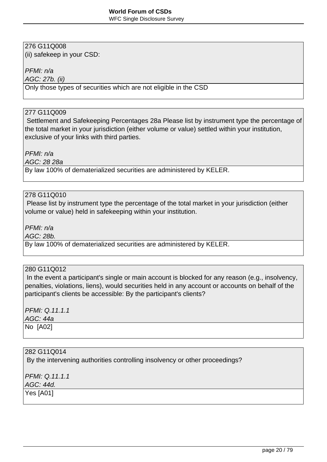(ii) safekeep in your CSD:

PFMI: n/a

AGC: 27b. (ii)

Only those types of securities which are not eligible in the CSD

## 277 G11Q009

 Settlement and Safekeeping Percentages 28a Please list by instrument type the percentage of the total market in your jurisdiction (either volume or value) settled within your institution, exclusive of your links with third parties.

PFMI: n/a

AGC: 28 28a

By law 100% of dematerialized securities are administered by KELER.

#### 278 G11Q010

 Please list by instrument type the percentage of the total market in your jurisdiction (either volume or value) held in safekeeping within your institution.

PFMI: n/a

AGC: 28b.

By law 100% of dematerialized securities are administered by KELER.

#### 280 G11Q012

In the event a participant's single or main account is blocked for any reason (e.g., insolvency, penalties, violations, liens), would securities held in any account or accounts on behalf of the participant's clients be accessible: By the participant's clients?

PFMI: Q.11.1.1 AGC: 44a No [A02]

#### 282 G11Q014

By the intervening authorities controlling insolvency or other proceedings?

PFMI: Q.11.1.1 AGC: 44d.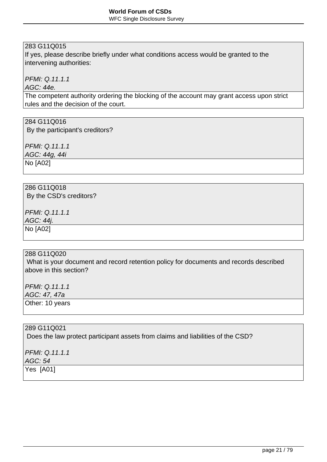If yes, please describe briefly under what conditions access would be granted to the intervening authorities:

PFMI: Q.11.1.1

AGC: 44e.

The competent authority ordering the blocking of the account may grant access upon strict rules and the decision of the court.

## 284 G11Q016

By the participant's creditors?

PFMI: Q.11.1.1 AGC: 44g, 44i No [A02]

286 G11Q018 By the CSD's creditors?

PFMI: Q.11.1.1

AGC: 44j.

No [A02]

288 G11Q020

 What is your document and record retention policy for documents and records described above in this section?

PFMI: Q.11.1.1 AGC: 47, 47a

Other: 10 years

289 G11Q021 Does the law protect participant assets from claims and liabilities of the CSD?

PFMI: Q.11.1.1 AGC: 54 Yes [A01]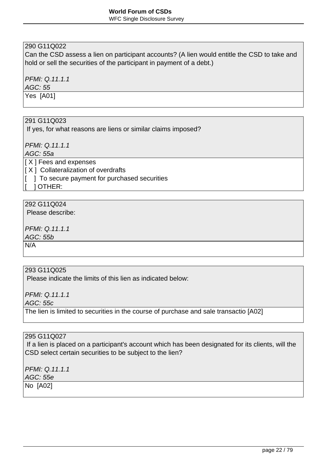#### WFC Single Disclosure Survey

## 290 G11Q022

Can the CSD assess a lien on participant accounts? (A lien would entitle the CSD to take and hold or sell the securities of the participant in payment of a debt.)

PFMI: Q.11.1.1

AGC: 55

Yes [A01]

#### 291 G11Q023

If yes, for what reasons are liens or similar claims imposed?

PFMI: Q.11.1.1

AGC: 55a

- [ X ] Fees and expenses
- $[X]$  Collateralization of overdrafts
- [ ] To secure payment for purchased securities

[ ] OTHER:

## 292 G11Q024

Please describe:

PFMI: Q.11.1.1 AGC: 55b

N/A

### 293 G11Q025

Please indicate the limits of this lien as indicated below:

PFMI: Q.11.1.1

AGC: 55c

The lien is limited to securities in the course of purchase and sale transactio [A02]

#### 295 G11Q027

 If a lien is placed on a participant's account which has been designated for its clients, will the CSD select certain securities to be subject to the lien?

PFMI: Q.11.1.1 AGC: 55e

No [A02]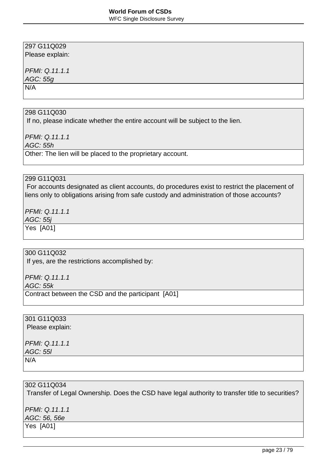Please explain:

## PFMI: Q.11.1.1

AGC: 55g

 $\overline{N}/A$ 

#### 298 G11Q030

If no, please indicate whether the entire account will be subject to the lien.

PFMI: Q.11.1.1

AGC: 55h

Other: The lien will be placed to the proprietary account.

## 299 G11Q031

 For accounts designated as client accounts, do procedures exist to restrict the placement of liens only to obligations arising from safe custody and administration of those accounts?

PFMI: Q.11.1.1

AGC: 55j

Yes [A01]

## 300 G11Q032

If yes, are the restrictions accomplished by:

PFMI: Q.11.1.1

AGC: 55k

Contract between the CSD and the participant [A01]

301 G11Q033

Please explain:

PFMI: Q.11.1.1 AGC: 55l N/A

#### 302 G11Q034

Transfer of Legal Ownership. Does the CSD have legal authority to transfer title to securities?

PFMI: Q.11.1.1 AGC: 56, 56e

Yes [A01]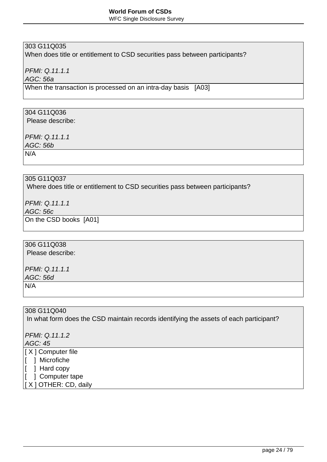WFC Single Disclosure Survey

## 303 G11Q035

When does title or entitlement to CSD securities pass between participants?

PFMI: Q.11.1.1

AGC: 56a

When the transaction is processed on an intra-day basis [A03]

## 304 G11Q036

Please describe:

PFMI: Q.11.1.1

AGC: 56b

N/A

#### 305 G11Q037

Where does title or entitlement to CSD securities pass between participants?

PFMI: Q.11.1.1

AGC: 56c

On the CSD books [A01]

## 306 G11Q038

Please describe:

PFMI: Q.11.1.1 AGC: 56d N/A

308 G11Q040

In what form does the CSD maintain records identifying the assets of each participant?

PFMI: Q.11.1.2

AGC: 45

[ X ] Computer file

[ ] Microfiche

 $\vert$ [ ] Hard copy

[ ] Computer tape

[ X ] OTHER: CD, daily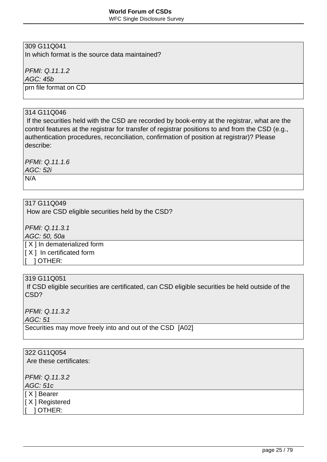WFC Single Disclosure Survey

## 309 G11Q041

In which format is the source data maintained?

PFMI: Q.11.1.2

AGC: 45b

prn file format on CD

#### 314 G11Q046

 If the securities held with the CSD are recorded by book-entry at the registrar, what are the control features at the registrar for transfer of registrar positions to and from the CSD (e.g., authentication procedures, reconciliation, confirmation of position at registrar)? Please describe:

PFMI: Q.11.1.6 AGC: 52i N/A

## 317 G11Q049

How are CSD eligible securities held by the CSD?

PFMI: Q.11.3.1 AGC: 50, 50a [ X ] In dematerialized form [ X ] In certificated form  $\vert$   $\vert$   $\vert$  OTHER:

## 319 G11Q051

 If CSD eligible securities are certificated, can CSD eligible securities be held outside of the CSD?

PFMI: Q.11.3.2

AGC: 51

Securities may move freely into and out of the CSD [A02]

| 322 G11Q054             |  |  |
|-------------------------|--|--|
| Are these certificates: |  |  |
|                         |  |  |
| PFMI: Q.11.3.2          |  |  |
| AGC: 51c                |  |  |
| [X] Bearer              |  |  |
| [X] Registered          |  |  |
| ] OTHER:                |  |  |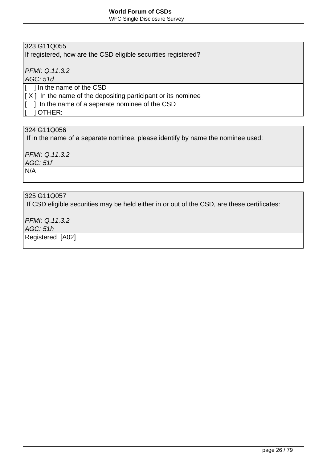WFC Single Disclosure Survey

## 323 G11Q055

If registered, how are the CSD eligible securities registered?

PFMI: Q.11.3.2

AGC: 51d

[ ] In the name of the CSD

 $[X]$  In the name of the depositing participant or its nominee

 $\vert$  ] In the name of a separate nominee of the CSD

[ ] OTHER:

## 324 G11Q056

If in the name of a separate nominee, please identify by name the nominee used:

PFMI: Q.11.3.2

AGC: 51f

N/A

## 325 G11Q057

If CSD eligible securities may be held either in or out of the CSD, are these certificates:

PFMI: Q.11.3.2

AGC: 51h

Registered [A02]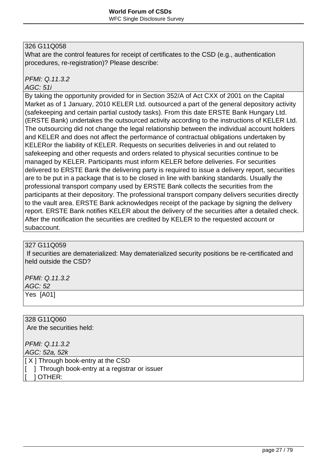What are the control features for receipt of certificates to the CSD (e.g., authentication procedures, re-registration)? Please describe:

## PFMI: Q.11.3.2

#### AGC: 51i

By taking the opportunity provided for in Section 352/A of Act CXX of 2001 on the Capital Market as of 1 January, 2010 KELER Ltd. outsourced a part of the general depository activity (safekeeping and certain partial custody tasks). From this date ERSTE Bank Hungary Ltd. (ERSTE Bank) undertakes the outsourced activity according to the instructions of KELER Ltd. The outsourcing did not change the legal relationship between the individual account holders and KELER and does not affect the performance of contractual obligations undertaken by KELERor the liability of KELER. Requests on securities deliveries in and out related to safekeeping and other requests and orders related to physical securities continue to be managed by KELER. Participants must inform KELER before deliveries. For securities delivered to ERSTE Bank the delivering party is required to issue a delivery report, securities are to be put in a package that is to be closed in line with banking standards. Usually the professional transport company used by ERSTE Bank collects the securities from the participants at their depository. The professional transport company delivers securities directly to the vault area. ERSTE Bank acknowledges receipt of the package by signing the delivery report. ERSTE Bank notifies KELER about the delivery of the securities after a detailed check. After the notification the securities are credited by KELER to the requested account or subaccount.

#### 327 G11Q059

 If securities are dematerialized: May dematerialized security positions be re-certificated and held outside the CSD?

PFMI: Q.11.3.2 AGC: 52 Yes [A01]

328 G11Q060 Are the securities held:

PFMI: Q.11.3.2 AGC: 52a, 52k

[ X ] Through book-entry at the CSD

[ ] Through book-entry at a registrar or issuer

[ ] OTHER: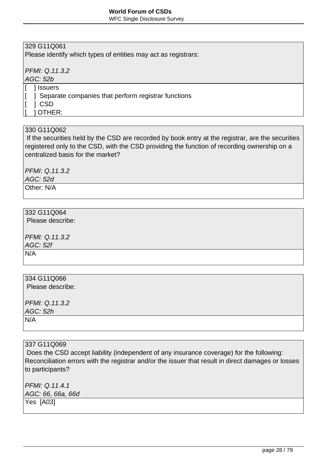WFC Single Disclosure Survey

## 329 G11Q061

Please identify which types of entities may act as registrars:

PFMI: Q.11.3.2

AGC: 52b

1 Issuers

[ ] Separate companies that perform registrar functions

[ ] CSD

[ ] OTHER:

## 330 G11Q062

 If the securities held by the CSD are recorded by book entry at the registrar, are the securities registered only to the CSD, with the CSD providing the function of recording ownership on a centralized basis for the market?

PFMI: Q.11.3.2 AGC: 52d

Other: N/A

## 332 G11Q064

Please describe:

PFMI: Q.11.3.2 AGC: 52f N/A

334 G11Q066 Please describe: PFMI: Q.11.3.2 AGC: 52h N/A

337 G11Q069

 Does the CSD accept liability (independent of any insurance coverage) for the following: Reconciliation errors with the registrar and/or the issuer that result in direct damages or losses to participants?

PFMI: Q.11.4.1 AGC: 66, 66a, 66d Yes [A03]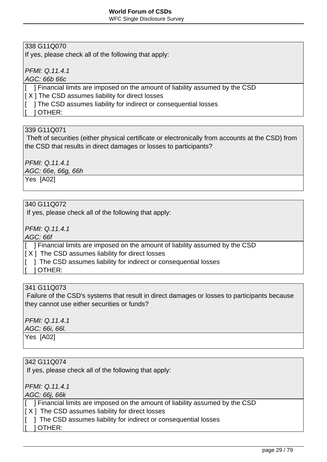If yes, please check all of the following that apply:

PFMI: Q.11.4.1

AGC: 66b 66c

[ ] Financial limits are imposed on the amount of liability assumed by the CSD  $[X]$  The CSD assumes liability for direct losses [ ] The CSD assumes liability for indirect or consequential losses

[ ] OTHER:

## 339 G11Q071

 Theft of securities (either physical certificate or electronically from accounts at the CSD) from the CSD that results in direct damages or losses to participants?

PFMI: Q.11.4.1 AGC: 66e, 66g, 66h Yes [A02]

## 340 G11Q072

If yes, please check all of the following that apply:

PFMI: Q.11.4.1

AGC: 66f

[ ] Financial limits are imposed on the amount of liability assumed by the CSD

 $[X]$  The CSD assumes liability for direct losses

- [  $\parallel$  ] The CSD assumes liability for indirect or consequential losses
	- [ ] OTHER:

### 341 G11Q073

 Failure of the CSD's systems that result in direct damages or losses to participants because they cannot use either securities or funds?

PFMI: Q.11.4.1

AGC: 66i, 66l.

Yes [A02]

#### 342 G11Q074

If yes, please check all of the following that apply:

PFMI: Q.11.4.1

AGC: 66j, 66k

[ ] Financial limits are imposed on the amount of liability assumed by the CSD

 $[X]$  The CSD assumes liability for direct losses

[  $\parallel$  ] The CSD assumes liability for indirect or consequential losses

[ ] OTHER: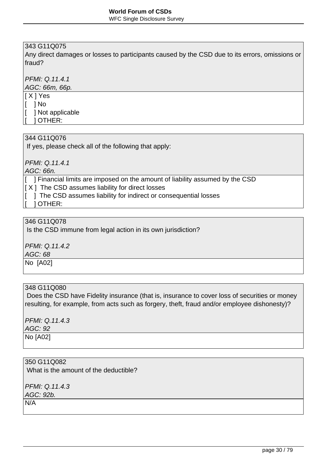Any direct damages or losses to participants caused by the CSD due to its errors, omissions or fraud?

PFMI: Q.11.4.1

AGC: 66m, 66p.

[ X ] Yes

[ ] No [ ] Not applicable

[ ] OTHER:

#### 344 G11Q076

If yes, please check all of the following that apply:

PFMI: Q.11.4.1

AGC: 66n.

[ ] Financial limits are imposed on the amount of liability assumed by the CSD

- $[X]$  The CSD assumes liability for direct losses
- [  $\blacksquare$  ] The CSD assumes liability for indirect or consequential losses
	- [ ] OTHER:

#### 346 G11Q078

Is the CSD immune from legal action in its own jurisdiction?

PFMI: Q.11.4.2

AGC: 68

No [A02]

#### 348 G11Q080

 Does the CSD have Fidelity insurance (that is, insurance to cover loss of securities or money resulting, for example, from acts such as forgery, theft, fraud and/or employee dishonesty)?

PFMI: Q.11.4.3

AGC: 92

No [A02]

#### 350 G11Q082

What is the amount of the deductible?

PFMI: Q.11.4.3 AGC: 92b. N/A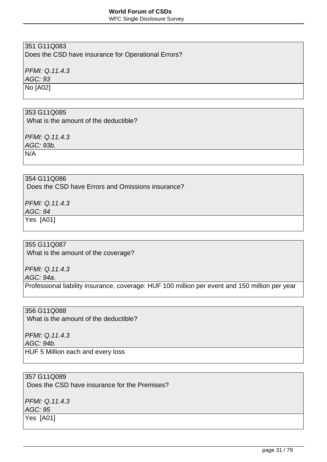WFC Single Disclosure Survey

## 351 G11Q083

Does the CSD have insurance for Operational Errors?

PFMI: Q.11.4.3

AGC: 93

No [A02]

### 353 G11Q085

What is the amount of the deductible?

PFMI: Q.11.4.3

AGC: 93b.

N/A

## 354 G11Q086

Does the CSD have Errors and Omissions insurance?

PFMI: Q.11.4.3

AGC: 94

Yes [A01]

#### 355 G11Q087

What is the amount of the coverage?

PFMI: Q.11.4.3

AGC: 94a.

Professional liability insurance, coverage: HUF 100 million per event and 150 million per year

356 G11Q088

What is the amount of the deductible?

PFMI: Q.11.4.3 AGC: 94b. HUF 5 Million each and every loss

#### 357 G11Q089

Does the CSD have insurance for the Premises?

PFMI: Q.11.4.3 AGC: 95

Yes [A01]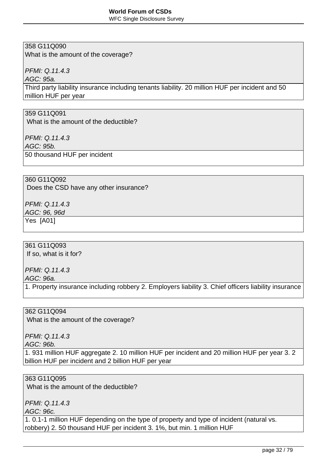WFC Single Disclosure Survey

## 358 G11Q090

What is the amount of the coverage?

PFMI: Q.11.4.3

AGC: 95a.

Third party liability insurance including tenants liability. 20 million HUF per incident and 50 million HUF per year

#### 359 G11Q091

What is the amount of the deductible?

PFMI: Q.11.4.3

AGC: 95b.

50 thousand HUF per incident

#### 360 G11Q092

Does the CSD have any other insurance?

PFMI: Q.11.4.3

AGC: 96, 96d

Yes [A01]

## 361 G11Q093

If so, what is it for?

PFMI: Q.11.4.3

AGC: 96a.

1. Property insurance including robbery 2. Employers liability 3. Chief officers liability insurance

#### 362 G11Q094

What is the amount of the coverage?

PFMI: Q.11.4.3

AGC: 96b.

1. 931 million HUF aggregate 2. 10 million HUF per incident and 20 million HUF per year 3. 2 billion HUF per incident and 2 billion HUF per year

#### 363 G11Q095

What is the amount of the deductible?

PFMI: Q.11.4.3

AGC: 96c.

1. 0.1-1 million HUF depending on the type of property and type of incident (natural vs. robbery) 2. 50 thousand HUF per incident 3. 1%, but min. 1 million HUF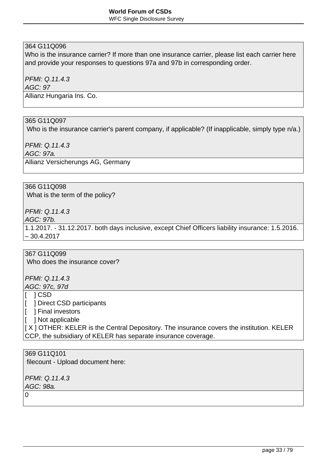Who is the insurance carrier? If more than one insurance carrier, please list each carrier here and provide your responses to questions 97a and 97b in corresponding order.

PFMI: Q.11.4.3

AGC: 97

Allianz Hungaria Ins. Co.

## 365 G11Q097

Who is the insurance carrier's parent company, if applicable? (If inapplicable, simply type n/a.)

PFMI: Q.11.4.3

AGC: 97a.

Allianz Versicherungs AG, Germany

#### 366 G11Q098

What is the term of the policy?

PFMI: Q.11.4.3

AGC: 97b.

1.1.2017. - 31.12.2017. both days inclusive, except Chief Officers liability insurance: 1.5.2016. – 30.4.2017

367 G11Q099

Who does the insurance cover?

PFMI: Q.11.4.3 AGC: 97c, 97d

[ ] CSD

[ ] Direct CSD participants

[ ] Final investors

[ ] Not applicable

[ X ] OTHER: KELER is the Central Depository. The insurance covers the institution. KELER CCP, the subsidiary of KELER has separate insurance coverage.

369 G11Q101 filecount - Upload document here:

PFMI: Q.11.4.3 AGC: 98a.

 $\Omega$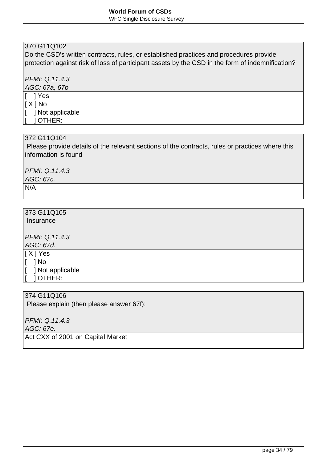Do the CSD's written contracts, rules, or established practices and procedures provide protection against risk of loss of participant assets by the CSD in the form of indemnification?

PFMI: Q.11.4.3

AGC: 67a, 67b.

[ ] Yes  $\vert$  [  $\chi$  ] No [ ] Not applicable [ ] OTHER:

#### 372 G11Q104

 Please provide details of the relevant sections of the contracts, rules or practices where this information is found

PFMI: Q.11.4.3 AGC: 67c.

N/A

# 373 G11Q105

Insurance

PFMI: Q.11.4.3

AGC: 67d.

[ X ] Yes

[ ] No

[ ] Not applicable

[ ] OTHER:

374 G11Q106

Please explain (then please answer 67f):

PFMI: Q.11.4.3

AGC: 67e.

Act CXX of 2001 on Capital Market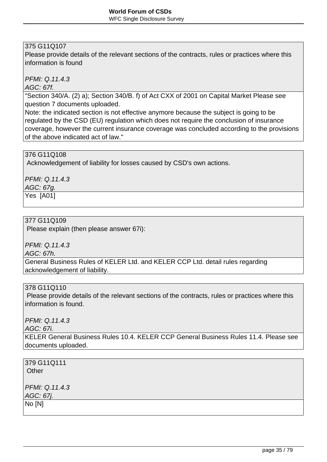Please provide details of the relevant sections of the contracts, rules or practices where this information is found

PFMI: Q.11.4.3

AGC: 67f.

"Section 340/A. (2) a); Section 340/B. f) of Act CXX of 2001 on Capital Market Please see question 7 documents uploaded.

Note: the indicated section is not effective anymore because the subject is going to be regulated by the CSD (EU) regulation which does not require the conclusion of insurance coverage, however the current insurance coverage was concluded according to the provisions of the above indicated act of law."

## 376 G11Q108

Acknowledgement of liability for losses caused by CSD's own actions.

PFMI: Q.11.4.3 AGC: 67g.

Yes [A01]

## 377 G11Q109

Please explain (then please answer 67i):

PFMI: Q.11.4.3

AGC: 67h.

General Business Rules of KELER Ltd. and KELER CCP Ltd. detail rules regarding acknowledgement of liability.

#### 378 G11Q110

 Please provide details of the relevant sections of the contracts, rules or practices where this information is found.

PFMI: Q.11.4.3

AGC: 67i.

KELER General Business Rules 10.4. KELER CCP General Business Rules 11.4. Please see documents uploaded.

| 379 G11Q111<br>Other |  |
|----------------------|--|
| PFMI: Q.11.4.3       |  |
| AGC: 67j.            |  |
| No [N]               |  |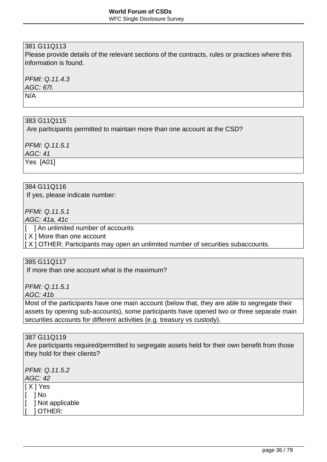Please provide details of the relevant sections of the contracts, rules or practices where this information is found.

PFMI: Q.11.4.3

AGC: 67l.

N/A

### 383 G11Q115

Are participants permitted to maintain more than one account at the CSD?

PFMI: Q.11.5.1 AGC: 41

Yes [A01]

#### 384 G11Q116

If yes, please indicate number:

PFMI: Q.11.5.1 AGC: 41a, 41c

[ ] An unlimited number of accounts

[ X ] More than one account

 $[X]$  OTHER: Participants may open an unlimited number of securities subaccounts.

## 385 G11Q117

If more than one account what is the maximum?

PFMI: Q.11.5.1

AGC: 41b

Most of the participants have one main account (below that, they are able to segregate their assets by opening sub-accounts), some participants have opened two or three separate main securities accounts for different activities (e.g. treasury vs custody).

387 G11Q119

 Are participants required/permitted to segregate assets held for their own benefit from those they hold for their clients?

PFMI: Q.11.5.2 AGC: 42 [ X ] Yes [ ] No [ ] Not applicable [ ] OTHER: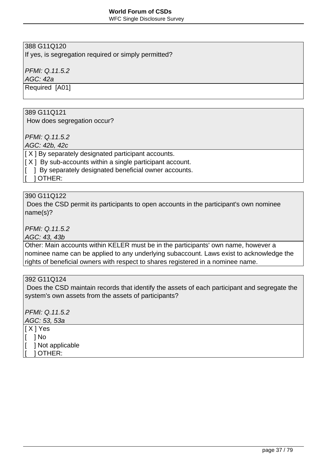WFC Single Disclosure Survey

# 388 G11Q120

If yes, is segregation required or simply permitted?

PFMI: Q.11.5.2

AGC: 42a

Required [A01]

### 389 G11Q121

How does segregation occur?

PFMI: Q.11.5.2

AGC: 42b, 42c

[ $X$ ] By separately designated participant accounts.

 $[X]$  By sub-accounts within a single participant account.

[ ] By separately designated beneficial owner accounts.

[ ] OTHER:

#### 390 G11Q122

 Does the CSD permit its participants to open accounts in the participant's own nominee name(s)?

PFMI: Q.11.5.2

AGC: 43, 43b

Other: Main accounts within KELER must be in the participants' own name, however a nominee name can be applied to any underlying subaccount. Laws exist to acknowledge the rights of beneficial owners with respect to shares registered in a nominee name.

392 G11Q124

 Does the CSD maintain records that identify the assets of each participant and segregate the system's own assets from the assets of participants?

| PFMI: Q.11.5.2   |  |  |
|------------------|--|--|
| AGC: 53, 53a     |  |  |
| $[X]$ Yes        |  |  |
| 1 No             |  |  |
| ] Not applicable |  |  |
| <b>OTHER:</b>    |  |  |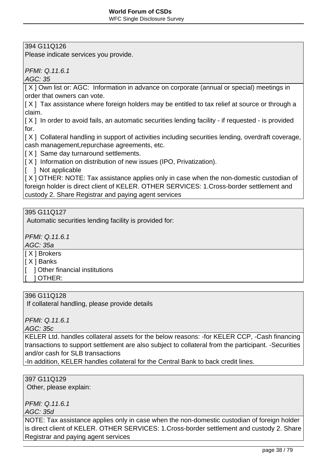# 394 G11Q126

Please indicate services you provide.

PFMI: Q.11.6.1

AGC: 35

[ $X$ ] Own list or: AGC: Information in advance on corporate (annual or special) meetings in order that owners can vote.

[X] Tax assistance where foreign holders may be entitled to tax relief at source or through a claim.

 $[X]$  In order to avoid fails, an automatic securities lending facility - if requested - is provided for.

 $[X]$  Collateral handling in support of activities including securities lending, overdraft coverage, cash management,repurchase agreements, etc.

 $[X]$  Same day turnaround settlements.

 $[X]$  Information on distribution of new issues (IPO, Privatization).

[ ] Not applicable

 $[X]$  OTHER: NOTE: Tax assistance applies only in case when the non-domestic custodian of foreign holder is direct client of KELER. OTHER SERVICES: 1.Cross-border settlement and custody 2. Share Registrar and paying agent services

# 395 G11Q127

Automatic securities lending facility is provided for:

PFMI: Q.11.6.1

AGC: 35a

[ X ] Brokers

[ X ] Banks

- [ ] Other financial institutions
- [ ] OTHER:

### 396 G11Q128

If collateral handling, please provide details

PFMI: Q.11.6.1

AGC: 35c

KELER Ltd. handles collateral assets for the below reasons: -for KELER CCP, -Cash financing transactions to support settlement are also subject to collateral from the participant. -Securities and/or cash for SLB transactions

-In addition, KELER handles collateral for the Central Bank to back credit lines.

397 G11Q129 Other, please explain:

PFMI: Q.11.6.1

AGC: 35d

NOTE: Tax assistance applies only in case when the non-domestic custodian of foreign holder is direct client of KELER. OTHER SERVICES: 1.Cross-border settlement and custody 2. Share Registrar and paying agent services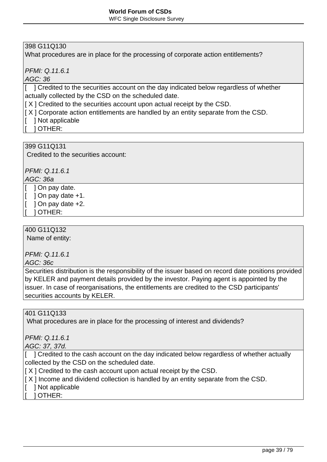WFC Single Disclosure Survey

# 398 G11Q130

What procedures are in place for the processing of corporate action entitlements?

PFMI: Q.11.6.1

AGC: 36

[ ] Credited to the securities account on the day indicated below regardless of whether actually collected by the CSD on the scheduled date.

[X] Credited to the securities account upon actual receipt by the CSD.

 $\vert$  X ] Corporate action entitlements are handled by an entity separate from the CSD.

[ ] Not applicable

[ ] OTHER:

399 G11Q131 Credited to the securities account:

PFMI: Q.11.6.1

AGC: 36a

[ ] On pay date.

 $\lceil$  1 On pay date +1.

 $\lceil$  1 On pay date  $+2$ .

[ ] OTHER:

400 G11Q132

Name of entity:

PFMI: Q.11.6.1

AGC: 36c

Securities distribution is the responsibility of the issuer based on record date positions provided by KELER and payment details provided by the investor. Paying agent is appointed by the issuer. In case of reorganisations, the entitlements are credited to the CSD participants' securities accounts by KELER.

## 401 G11Q133

What procedures are in place for the processing of interest and dividends?

PFMI: Q.11.6.1

AGC: 37, 37d.

[ ] Credited to the cash account on the day indicated below regardless of whether actually collected by the CSD on the scheduled date.

[ $X$ ] Credited to the cash account upon actual receipt by the CSD.

- $[X]$  Income and dividend collection is handled by an entity separate from the CSD.
- [ ] Not applicable

[ ] OTHER: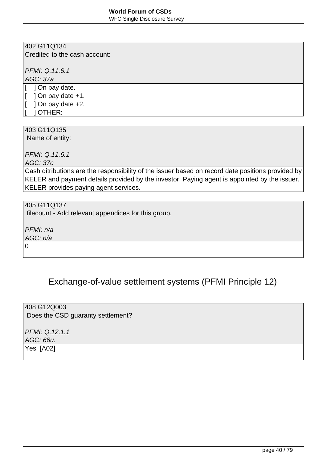WFC Single Disclosure Survey

### 402 G11Q134

Credited to the cash account:

PFMI: Q.11.6.1

AGC: 37a

[ ] On pay date.  $[$  ] On pay date  $+1$ .  $[$  ] On pay date  $+2$ . [ ] OTHER:

403 G11Q135

Name of entity:

PFMI: Q.11.6.1

AGC: 37c

Cash ditributions are the responsibility of the issuer based on record date positions provided by KELER and payment details provided by the investor. Paying agent is appointed by the issuer. KELER provides paying agent services.

405 G11Q137

filecount - Add relevant appendices for this group.

PFMI: n/a

AGC: n/a

0

# Exchange-of-value settlement systems (PFMI Principle 12)

408 G12Q003 Does the CSD guaranty settlement? PFMI: Q.12.1.1 AGC: 66u. Yes [A02]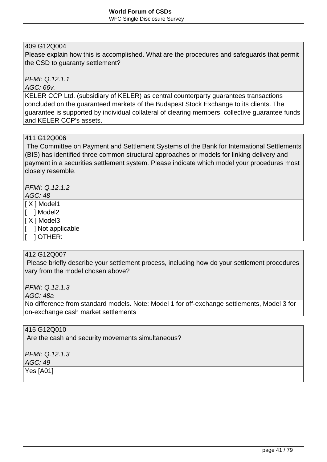# 409 G12Q004

Please explain how this is accomplished. What are the procedures and safeguards that permit the CSD to guaranty settlement?

PFMI: Q.12.1.1

#### AGC: 66v.

KELER CCP Ltd. (subsidiary of KELER) as central counterparty guarantees transactions concluded on the guaranteed markets of the Budapest Stock Exchange to its clients. The guarantee is supported by individual collateral of clearing members, collective guarantee funds and KELER CCP's assets.

#### 411 G12Q006

 The Committee on Payment and Settlement Systems of the Bank for International Settlements (BIS) has identified three common structural approaches or models for linking delivery and payment in a securities settlement system. Please indicate which model your procedures most closely resemble.

PFMI: Q.12.1.2

### AGC: 48

[ X ] Model1

- [ ] Model2
- $X$  ] Model3
- [ ] Not applicable
- [ ] OTHER:

### 412 G12Q007

 Please briefly describe your settlement process, including how do your settlement procedures vary from the model chosen above?

PFMI: Q.12.1.3

AGC: 48a

No difference from standard models. Note: Model 1 for off-exchange settlements, Model 3 for on-exchange cash market settlements

415 G12Q010

Are the cash and security movements simultaneous?

PFMI: Q.12.1.3 AGC: 49 Yes [A01]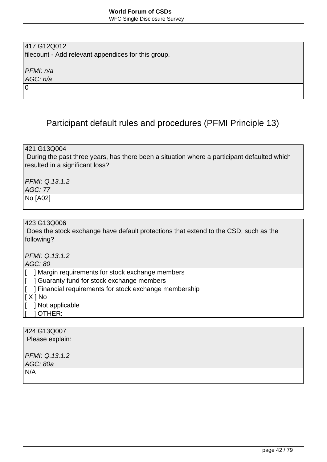# 417 G12Q012

filecount - Add relevant appendices for this group.

PFMI: n/a

AGC: n/a 0

# Participant default rules and procedures (PFMI Principle 13)

421 G13Q004

 During the past three years, has there been a situation where a participant defaulted which resulted in a significant loss?

PFMI: Q.13.1.2 AGC: 77

No [A02]

### 423 G13Q006

 Does the stock exchange have default protections that extend to the CSD, such as the following?

PFMI: Q.13.1.2

### AGC: 80

[ ] Margin requirements for stock exchange members

- [ ] Guaranty fund for stock exchange members
- [ ] Financial requirements for stock exchange membership
- $|X|$  No
- [ ] Not applicable
- [ ] OTHER:

| 424 G13Q007<br>Please explain: |  |
|--------------------------------|--|
| PFMI: Q.13.1.2<br>AGC: 80a     |  |
| N/A                            |  |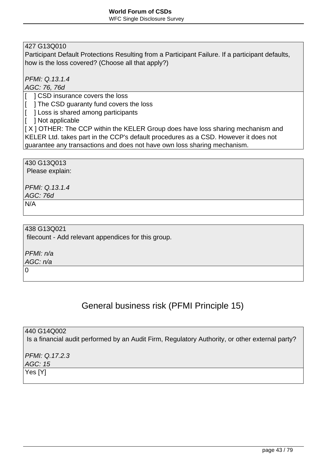427 G13Q010

Participant Default Protections Resulting from a Participant Failure. If a participant defaults, how is the loss covered? (Choose all that apply?)

PFMI: Q.13.1.4

AGC: 76, 76d

[  $\overline{ }$  ] CSD insurance covers the loss

[ ] The CSD guaranty fund covers the loss

[ ] Loss is shared among participants

[ ] Not applicable

[X] OTHER: The CCP within the KELER Group does have loss sharing mechanism and KELER Ltd. takes part in the CCP's default procedures as a CSD. However it does not guarantee any transactions and does not have own loss sharing mechanism.

430 G13Q013 Please explain:

PFMI: Q.13.1.4 AGC: 76d

N/A

438 G13Q021 filecount - Add relevant appendices for this group.

PFMI: n/a

AGC: n/a

 $\Omega$ 

# General business risk (PFMI Principle 15)

440 G14Q002 Is a financial audit performed by an Audit Firm, Regulatory Authority, or other external party?

PFMI: Q.17.2.3 AGC: 15

Yes [Y]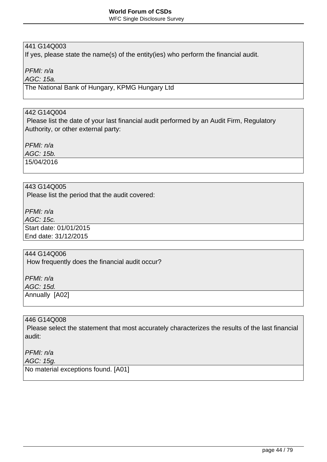# 441 G14Q003

If yes, please state the name(s) of the entity(ies) who perform the financial audit.

PFMI: n/a

AGC: 15a.

The National Bank of Hungary, KPMG Hungary Ltd

# 442 G14Q004

 Please list the date of your last financial audit performed by an Audit Firm, Regulatory Authority, or other external party:

PFMI: n/a

AGC: 15b.

15/04/2016

# 443 G14Q005

Please list the period that the audit covered:

PFMI: n/a

AGC: 15c.

Start date: 01/01/2015

End date: 31/12/2015

# 444 G14Q006

How frequently does the financial audit occur?

PFMI: n/a AGC: 15d.

Annually [A02]

### 446 G14Q008

 Please select the statement that most accurately characterizes the results of the last financial audit:

PFMI: n/a

AGC: 15g.

No material exceptions found. [A01]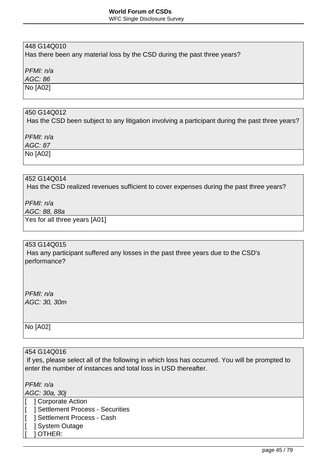#### WFC Single Disclosure Survey

# 448 G14Q010

Has there been any material loss by the CSD during the past three years?

PFMI: n/a

AGC: 86

No [A02]

#### 450 G14Q012

Has the CSD been subject to any litigation involving a participant during the past three years?

PFMI: n/a

AGC: 87

No [A02]

# 452 G14Q014

Has the CSD realized revenues sufficient to cover expenses during the past three years?

PFMI: n/a

AGC: 88, 88a

Yes for all three years [A01]

#### 453 G14Q015

 Has any participant suffered any losses in the past three years due to the CSD's performance?

PFMI: n/a AGC: 30, 30m

No [A02]

### 454 G14Q016

 If yes, please select all of the following in which loss has occurred. You will be prompted to enter the number of instances and total loss in USD thereafter.

PFMI: n/a

AGC: 30a, 30j

- [ **] Corporate Action**
- [ ] Settlement Process Securities
- [ ] Settlement Process Cash
- [ ] System Outage
- [ ] OTHER: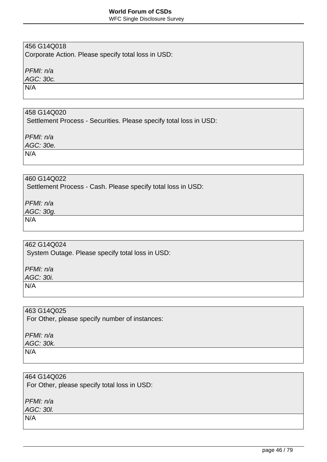WFC Single Disclosure Survey

# 456 G14Q018

Corporate Action. Please specify total loss in USD:

PFMI: n/a

AGC: 30c.

N/A

# 458 G14Q020

Settlement Process - Securities. Please specify total loss in USD:

PFMI: n/a

AGC: 30e.

N/A

# 460 G14Q022

Settlement Process - Cash. Please specify total loss in USD:

PFMI: n/a

AGC: 30g.

N/A

# 462 G14Q024

System Outage. Please specify total loss in USD:

PFMI: n/a

AGC: 30i.

N/A

463 G14Q025

For Other, please specify number of instances:

PFMI: n/a AGC: 30k.

N/A

#### 464 G14Q026

For Other, please specify total loss in USD:

PFMI: n/a

AGC: 30l.

N/A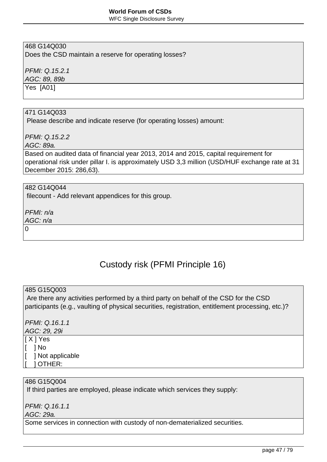WFC Single Disclosure Survey

# 468 G14Q030

Does the CSD maintain a reserve for operating losses?

PFMI: Q.15.2.1

AGC: 89, 89b

Yes [A01]

# 471 G14Q033

Please describe and indicate reserve (for operating losses) amount:

PFMI: Q.15.2.2

AGC: 89a.

Based on audited data of financial year 2013, 2014 and 2015, capital requirement for operational risk under pillar I. is approximately USD 3,3 million (USD/HUF exchange rate at 31 December 2015: 286,63).

#### 482 G14Q044

filecount - Add relevant appendices for this group.

PFMI: n/a

AGC: n/a

 $\Omega$ 

# Custody risk (PFMI Principle 16)

#### 485 G15Q003

 Are there any activities performed by a third party on behalf of the CSD for the CSD participants (e.g., vaulting of physical securities, registration, entitlement processing, etc.)?

# PFMI: Q.16.1.1

AGC: 29, 29i [ X ] Yes

- [ ] No
- [ ] Not applicable
- [ ] OTHER:

# 486 G15Q004

If third parties are employed, please indicate which services they supply:

PFMI: Q.16.1.1

AGC: 29a.

Some services in connection with custody of non-dematerialized securities.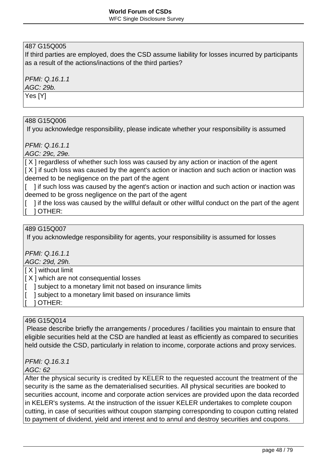# 487 G15Q005

If third parties are employed, does the CSD assume liability for losses incurred by participants as a result of the actions/inactions of the third parties?

PFMI: Q.16.1.1

AGC: 29b.

Yes [Y]

### 488 G15Q006

If you acknowledge responsibility, please indicate whether your responsibility is assumed

PFMI: Q.16.1.1

AGC: 29c, 29e.

[X] regardless of whether such loss was caused by any action or inaction of the agent [X] if such loss was caused by the agent's action or inaction and such action or inaction was deemed to be negligence on the part of the agent

[ ] if such loss was caused by the agent's action or inaction and such action or inaction was deemed to be gross negligence on the part of the agent

[ ] if the loss was caused by the willful default or other willful conduct on the part of the agent [ ] OTHER:

# 489 G15Q007

If you acknowledge responsibility for agents, your responsibility is assumed for losses

PFMI: Q.16.1.1

AGC: 29d, 29h.

[ X ] without limit

[ X ] which are not consequential losses

- [ ] subject to a monetary limit not based on insurance limits
- ] subject to a monetary limit based on insurance limits
- [ ] OTHER:

### 496 G15Q014

 Please describe briefly the arrangements / procedures / facilities you maintain to ensure that eligible securities held at the CSD are handled at least as efficiently as compared to securities held outside the CSD, particularly in relation to income, corporate actions and proxy services.

PFMI: Q.16.3.1

### AGC: 62

After the physical security is credited by KELER to the requested account the treatment of the security is the same as the dematerialised securities. All physical securities are booked to securities account, income and corporate action services are provided upon the data recorded in KELER's systems. At the instruction of the issuer KELER undertakes to complete coupon cutting, in case of securities without coupon stamping corresponding to coupon cutting related to payment of dividend, yield and interest and to annul and destroy securities and coupons.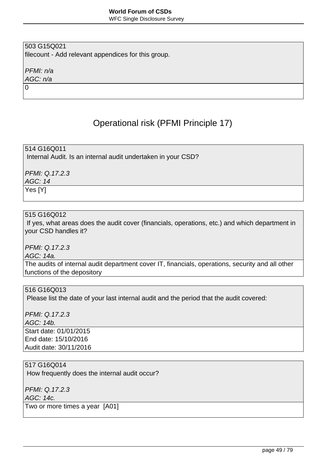WFC Single Disclosure Survey

# 503 G15Q021

filecount - Add relevant appendices for this group.

PFMI: n/a

AGC: n/a 0

# Operational risk (PFMI Principle 17)

514 G16Q011 Internal Audit. Is an internal audit undertaken in your CSD?

PFMI: Q.17.2.3

AGC: 14

Yes [Y]

### 515 G16Q012

 If yes, what areas does the audit cover (financials, operations, etc.) and which department in your CSD handles it?

PFMI: Q.17.2.3

AGC: 14a.

The audits of internal audit department cover IT, financials, operations, security and all other functions of the depository

#### 516 G16Q013

Please list the date of your last internal audit and the period that the audit covered:

PFMI: Q.17.2.3 AGC: 14b. Start date: 01/01/2015 End date: 15/10/2016 Audit date: 30/11/2016

517 G16Q014

How frequently does the internal audit occur?

PFMI: Q.17.2.3

AGC: 14c.

Two or more times a year [A01]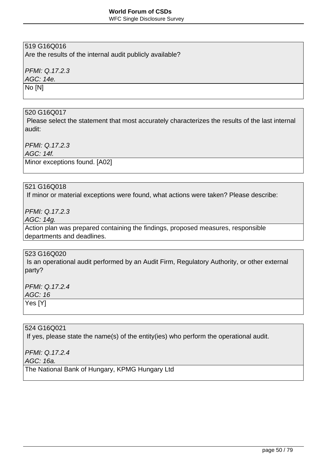WFC Single Disclosure Survey

# 519 G16Q016

Are the results of the internal audit publicly available?

PFMI: Q.17.2.3

AGC: 14e.

No [N]

### 520 G16Q017

 Please select the statement that most accurately characterizes the results of the last internal audit:

PFMI: Q.17.2.3

AGC: 14f.

Minor exceptions found. [A02]

#### 521 G16Q018

If minor or material exceptions were found, what actions were taken? Please describe:

PFMI: Q.17.2.3

AGC: 14g.

Action plan was prepared containing the findings, proposed measures, responsible departments and deadlines.

### 523 G16Q020

 Is an operational audit performed by an Audit Firm, Regulatory Authority, or other external party?

PFMI: Q.17.2.4 AGC: 16 Yes [Y]

524 G16Q021

If yes, please state the name(s) of the entity(ies) who perform the operational audit.

PFMI: Q.17.2.4

AGC: 16a.

The National Bank of Hungary, KPMG Hungary Ltd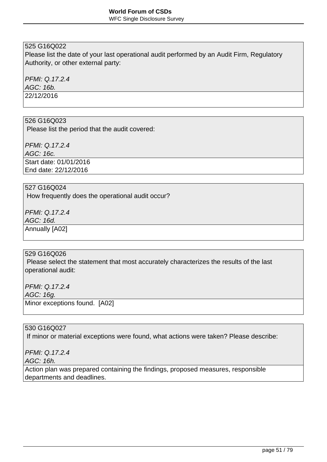Please list the date of your last operational audit performed by an Audit Firm, Regulatory Authority, or other external party:

PFMI: Q.17.2.4

AGC: 16b.

22/12/2016

#### 526 G16Q023

Please list the period that the audit covered:

PFMI: Q.17.2.4 AGC: 16c. Start date: 01/01/2016 End date: 22/12/2016

#### 527 G16Q024

How frequently does the operational audit occur?

PFMI: Q.17.2.4 AGC: 16d. Annually [A02]

#### 529 G16Q026

 Please select the statement that most accurately characterizes the results of the last operational audit:

PFMI: Q.17.2.4

AGC: 16g.

Minor exceptions found. [A02]

### 530 G16Q027

If minor or material exceptions were found, what actions were taken? Please describe:

PFMI: Q.17.2.4

AGC: 16h.

Action plan was prepared containing the findings, proposed measures, responsible departments and deadlines.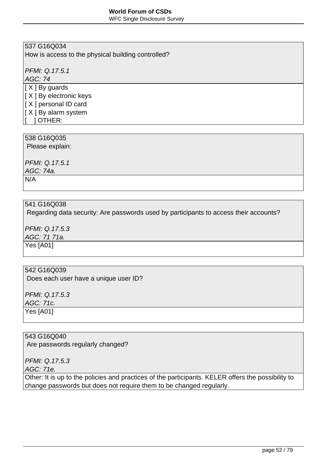WFC Single Disclosure Survey

# 537 G16Q034

How is access to the physical building controlled?

PFMI: Q.17.5.1

AGC: 74

[ X ] By guards [ X ] By electronic keys [ X ] personal ID card  $|$ [ X ] By alarm system

[ ] OTHER:

### 538 G16Q035

Please explain:

PFMI: Q.17.5.1 AGC: 74a. N/A

### 541 G16Q038

Regarding data security: Are passwords used by participants to access their accounts?

PFMI: Q.17.5.3 AGC: 71 71a. Yes [A01]

#### 542 G16Q039

Does each user have a unique user ID?

PFMI: Q.17.5.3 AGC: 71c. Yes [A01]

# 543 G16Q040

Are passwords regularly changed?

PFMI: Q.17.5.3

AGC: 71e.

Other: It is up to the policies and practices of the participants. KELER offers the possibility to change passwords but does not require them to be changed regularly.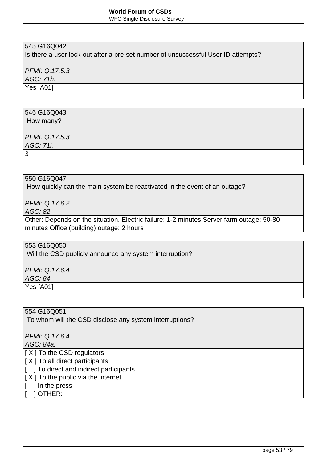Is there a user lock-out after a pre-set number of unsuccessful User ID attempts?

PFMI: Q.17.5.3

AGC: 71h.

Yes [A01]

# 546 G16Q043

How many?

PFMI: Q.17.5.3

AGC: 71i.

3

# 550 G16Q047

How quickly can the main system be reactivated in the event of an outage?

PFMI: Q.17.6.2

AGC: 82

Other: Depends on the situation. Electric failure: 1-2 minutes Server farm outage: 50-80 minutes Office (building) outage: 2 hours

553 G16Q050

Will the CSD publicly announce any system interruption?

PFMI: Q.17.6.4

AGC: 84

Yes [A01]

554 G16Q051 To whom will the CSD disclose any system interruptions?

PFMI: Q.17.6.4

AGC: 84a.

[ X ] To the CSD regulators

 $[X]$  To all direct participants

 $\begin{bmatrix} 1 \\ 1 \end{bmatrix}$  To direct and indirect participants

- $[X]$  To the public via the internet
- $\vert \vert$  ] In the press
- [ ] OTHER: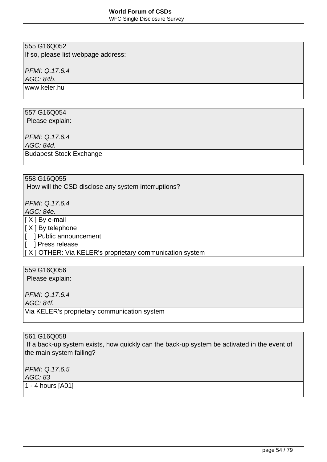WFC Single Disclosure Survey

## 555 G16Q052

If so, please list webpage address:

PFMI: Q.17.6.4

AGC: 84b.

www.keler.hu

# 557 G16Q054

Please explain:

PFMI: Q.17.6.4

AGC: 84d.

Budapest Stock Exchange

# 558 G16Q055

How will the CSD disclose any system interruptions?

PFMI: Q.17.6.4

AGC: 84e.

[ X ] By e-mail

 $[X]$  By telephone

[ ] Public announcement

[ ] Press release

[ X ] OTHER: Via KELER's proprietary communication system

# 559 G16Q056

Please explain:

PFMI: Q.17.6.4

AGC: 84f.

Via KELER's proprietary communication system

### 561 G16Q058

 If a back-up system exists, how quickly can the back-up system be activated in the event of the main system failing?

PFMI: Q.17.6.5 AGC: 83

1 - 4 hours [A01]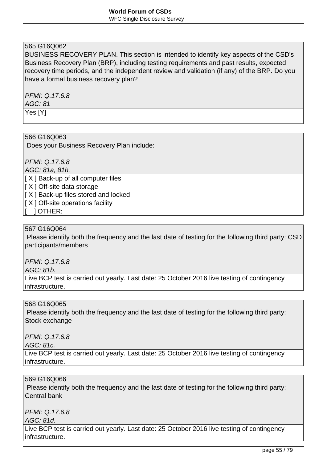BUSINESS RECOVERY PLAN. This section is intended to identify key aspects of the CSD's Business Recovery Plan (BRP), including testing requirements and past results, expected recovery time periods, and the independent review and validation (if any) of the BRP. Do you have a formal business recovery plan?

#### PFMI: Q.17.6.8 AGC: 81 Yes [Y]

#### 566 G16Q063

Does your Business Recovery Plan include:

PFMI: Q.17.6.8

AGC: 81a, 81h.

[ X ] Back-up of all computer files

[ X ] Off-site data storage

 $[X]$  Back-up files stored and locked

 $[X]$  Off-site operations facility

[ ] OTHER:

## 567 G16Q064

 Please identify both the frequency and the last date of testing for the following third party: CSD participants/members

PFMI: Q.17.6.8

AGC: 81b.

Live BCP test is carried out yearly. Last date: 25 October 2016 live testing of contingency infrastructure.

#### 568 G16Q065

 Please identify both the frequency and the last date of testing for the following third party: Stock exchange

PFMI: Q.17.6.8

AGC: 81c.

Live BCP test is carried out yearly. Last date: 25 October 2016 live testing of contingency infrastructure.

### 569 G16Q066

Please identify both the frequency and the last date of testing for the following third party: Central bank

PFMI: Q.17.6.8

AGC: 81d.

Live BCP test is carried out yearly. Last date: 25 October 2016 live testing of contingency infrastructure.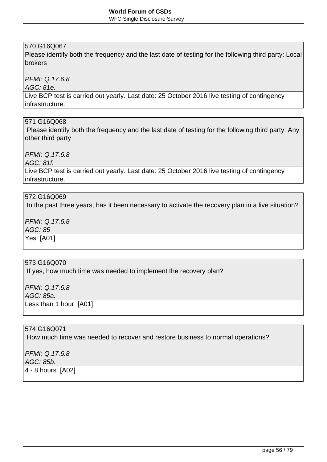Please identify both the frequency and the last date of testing for the following third party: Local brokers

PFMI: Q.17.6.8

AGC: 81e.

Live BCP test is carried out yearly. Last date: 25 October 2016 live testing of contingency infrastructure.

#### 571 G16Q068

 Please identify both the frequency and the last date of testing for the following third party: Any other third party

PFMI: Q.17.6.8

AGC: 81f.

Live BCP test is carried out yearly. Last date: 25 October 2016 live testing of contingency infrastructure.

#### 572 G16Q069

In the past three years, has it been necessary to activate the recovery plan in a live situation?

PFMI: Q.17.6.8

AGC: 85

Yes [A01]

# 573 G16Q070

If yes, how much time was needed to implement the recovery plan?

PFMI: Q.17.6.8 AGC: 85a. Less than 1 hour [A01]

### 574 G16Q071

How much time was needed to recover and restore business to normal operations?

PFMI: Q.17.6.8 AGC: 85b. 4 - 8 hours [A02]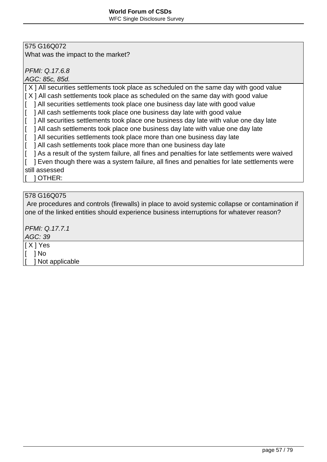What was the impact to the market?

PFMI: Q.17.6.8

AGC: 85c, 85d.

[X] All securities settlements took place as scheduled on the same day with good value

 $[X]$  All cash settlements took place as scheduled on the same day with good value

[ ] All securities settlements took place one business day late with good value

- [ ] All cash settlements took place one business day late with good value
- [ ] All securities settlements took place one business day late with value one day late

 $\begin{bmatrix} 1 \\ 1 \end{bmatrix}$  All cash settlements took place one business day late with value one day late

- $\begin{bmatrix} 1 \\ 1 \end{bmatrix}$  All securities settlements took place more than one business day late
- [ ] All cash settlements took place more than one business day late
- $\begin{bmatrix} 1 \\ 1 \end{bmatrix}$  As a result of the system failure, all fines and penalties for late settlements were waived

[ ] Even though there was a system failure, all fines and penalties for late settlements were still assessed

[ ] OTHER:

### 578 G16Q075

 Are procedures and controls (firewalls) in place to avoid systemic collapse or contamination if one of the linked entities should experience business interruptions for whatever reason?

PFMI: Q.17.7.1

AGC: 39

[ X ] Yes

[ ] No

1 Not applicable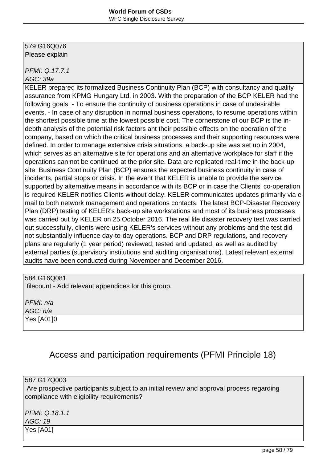#### 579 G16Q076 Please explain

PFMI: Q.17.7.1 AGC: 39a

KELER prepared its formalized Business Continuity Plan (BCP) with consultancy and quality assurance from KPMG Hungary Ltd. in 2003. With the preparation of the BCP KELER had the following goals: - To ensure the continuity of business operations in case of undesirable events. - In case of any disruption in normal business operations, to resume operations within the shortest possible time at the lowest possible cost. The cornerstone of our BCP is the indepth analysis of the potential risk factors ant their possible effects on the operation of the company, based on which the critical business processes and their supporting resources were defined. In order to manage extensive crisis situations, a back-up site was set up in 2004, which serves as an alternative site for operations and an alternative workplace for staff if the operations can not be continued at the prior site. Data are replicated real-time in the back-up site. Business Continuity Plan (BCP) ensures the expected business continuity in case of incidents, partial stops or crisis. In the event that KELER is unable to provide the service supported by alternative means in accordance with its BCP or in case the Clients' co-operation is required KELER notifies Clients without delay. KELER communicates updates primarily via email to both network management and operations contacts. The latest BCP-Disaster Recovery Plan (DRP) testing of KELER's back-up site workstations and most of its business processes was carried out by KELER on 25 October 2016. The real life disaster recovery test was carried out successfully, clients were using KELER's services without any problems and the test did not substantially influence day-to-day operations. BCP and DRP regulations, and recovery plans are regularly (1 year period) reviewed, tested and updated, as well as audited by external parties (supervisory institutions and auditing organisations). Latest relevant external audits have been conducted during November and December 2016.

### 584 G16Q081

filecount - Add relevant appendices for this group.

PFMI: n/a AGC: n/a Yes [A01]0

# Access and participation requirements (PFMI Principle 18)

### 587 G17Q003

 Are prospective participants subject to an initial review and approval process regarding compliance with eligibility requirements?

PFMI: Q.18.1.1 AGC: 19 Yes [A01]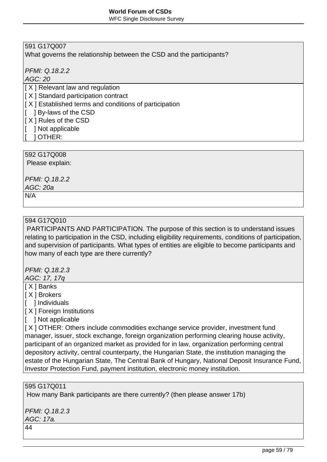What governs the relationship between the CSD and the participants?

PFMI: Q.18.2.2

AGC: 20

[ X ] Relevant law and regulation

 $[X]$  Standard participation contract

 $[X]$  Established terms and conditions of participation

[ ] By-laws of the CSD

[ X ] Rules of the CSD

- [ ] Not applicable
	- [ ] OTHER:

592 G17Q008

Please explain:

PFMI: Q.18.2.2

AGC: 20a

N/A

# 594 G17Q010

 PARTICIPANTS AND PARTICIPATION. The purpose of this section is to understand issues relating to participation in the CSD, including eligibility requirements, conditions of participation, and supervision of participants. What types of entities are eligible to become participants and how many of each type are there currently?

PFMI: Q.18.2.3

AGC: 17, 17q

[ X ] Banks

[ X ] Brokers

[ ] Individuals

[ X ] Foreign Institutions

[ ] Not applicable

[ X ] OTHER: Others include commodities exchange service provider, investment fund manager, issuer, stock exchange, foreign organization performing clearing house activity, participant of an organized market as provided for in law, organization performing central depository activity, central counterparty, the Hungarian State, the institution managing the estate of the Hungarian State, The Central Bank of Hungary, National Deposit Insurance Fund, Investor Protection Fund, payment institution, electronic money institution.

### 595 G17Q011

How many Bank participants are there currently? (then please answer 17b)

PFMI: Q.18.2.3 AGC: 17a.

44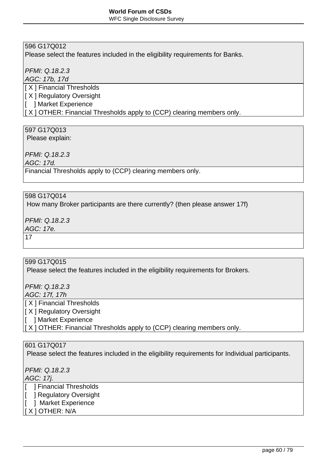Please select the features included in the eligibility requirements for Banks.

PFMI: Q.18.2.3

AGC: 17b, 17d

[ X ] Financial Thresholds

[ X ] Regulatory Oversight

[ ] Market Experience

 $|$ [ X ] OTHER: Financial Thresholds apply to (CCP) clearing members only.

# 597 G17Q013

Please explain:

PFMI: Q.18.2.3

AGC: 17d.

Financial Thresholds apply to (CCP) clearing members only.

### 598 G17Q014

How many Broker participants are there currently? (then please answer 17f)

PFMI: Q.18.2.3

AGC: 17e.

17

# 599 G17Q015

Please select the features included in the eligibility requirements for Brokers.

PFMI: Q.18.2.3 AGC: 17f, 17h

[ X ] Financial Thresholds

[ X ] Regulatory Oversight

[ ] Market Experience

 $\vert$  [ X ] OTHER: Financial Thresholds apply to (CCP) clearing members only.

### 601 G17Q017

Please select the features included in the eligibility requirements for Individual participants.

PFMI: Q.18.2.3 AGC: 17j.

- [ ] Financial Thresholds
- [ ] Regulatory Oversight
- [ ] Market Experience
- [ X ] OTHER: N/A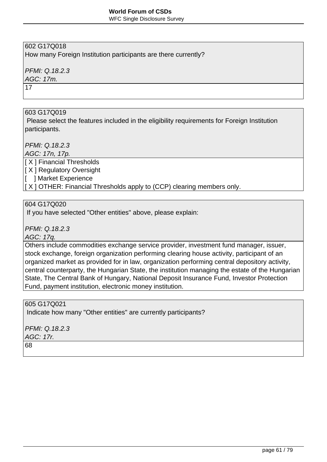WFC Single Disclosure Survey

# 602 G17Q018

How many Foreign Institution participants are there currently?

# PFMI: Q.18.2.3

AGC: 17m.

17

# 603 G17Q019

 Please select the features included in the eligibility requirements for Foreign Institution participants.

PFMI: Q.18.2.3

AGC: 17n, 17p.

[ X ] Financial Thresholds

[ X ] Regulatory Oversight

[ ] Market Experience

 $[X]$  OTHER: Financial Thresholds apply to (CCP) clearing members only.

### 604 G17Q020

If you have selected "Other entities" above, please explain:

PFMI: Q.18.2.3

AGC: 17q.

Others include commodities exchange service provider, investment fund manager, issuer, stock exchange, foreign organization performing clearing house activity, participant of an organized market as provided for in law, organization performing central depository activity, central counterparty, the Hungarian State, the institution managing the estate of the Hungarian State, The Central Bank of Hungary, National Deposit Insurance Fund, Investor Protection Fund, payment institution, electronic money institution.

605 G17Q021

Indicate how many "Other entities" are currently participants?

PFMI: Q.18.2.3

AGC: 17r.

68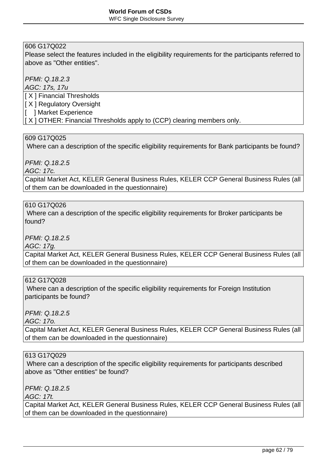Please select the features included in the eligibility requirements for the participants referred to above as "Other entities".

PFMI: Q.18.2.3

AGC: 17s, 17u

[ X ] Financial Thresholds

[ X ] Regulatory Oversight

[ ] Market Experience

 $[X]$  OTHER: Financial Thresholds apply to (CCP) clearing members only.

#### 609 G17Q025

Where can a description of the specific eligibility requirements for Bank participants be found?

PFMI: Q.18.2.5

AGC: 17c.

Capital Market Act, KELER General Business Rules, KELER CCP General Business Rules (all of them can be downloaded in the questionnaire)

### 610 G17Q026

 Where can a description of the specific eligibility requirements for Broker participants be found?

PFMI: Q.18.2.5

AGC: 17g.

Capital Market Act, KELER General Business Rules, KELER CCP General Business Rules (all of them can be downloaded in the questionnaire)

### 612 G17Q028

 Where can a description of the specific eligibility requirements for Foreign Institution participants be found?

PFMI: Q.18.2.5

AGC: 17o.

Capital Market Act, KELER General Business Rules, KELER CCP General Business Rules (all of them can be downloaded in the questionnaire)

#### 613 G17Q029

 Where can a description of the specific eligibility requirements for participants described above as "Other entities" be found?

PFMI: Q.18.2.5

AGC: 17t.

Capital Market Act, KELER General Business Rules, KELER CCP General Business Rules (all of them can be downloaded in the questionnaire)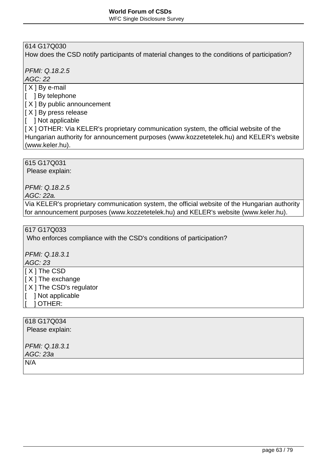How does the CSD notify participants of material changes to the conditions of participation?

PFMI: Q.18.2.5

AGC: 22

- [ X ] By e-mail
- [ ] By telephone

[ X ] By public announcement

- $[X]$  By press release
- [ ] Not applicable

 $[X]$  OTHER: Via KELER's proprietary communication system, the official website of the Hungarian authority for announcement purposes (www.kozzetetelek.hu) and KELER's website (www.keler.hu).

615 G17Q031

Please explain:

PFMI: Q.18.2.5

AGC: 22a.

Via KELER's proprietary communication system, the official website of the Hungarian authority for announcement purposes (www.kozzetetelek.hu) and KELER's website (www.keler.hu).

# 617 G17Q033

Who enforces compliance with the CSD's conditions of participation?

PFMI: Q.18.3.1

AGC: 23

[ X ] The CSD

 $[X]$  The exchange

- [ X ] The CSD's regulator
- [ ] Not applicable
- [ ] OTHER:

# 618 G17Q034

Please explain:

PFMI: Q.18.3.1 AGC: 23a

N/A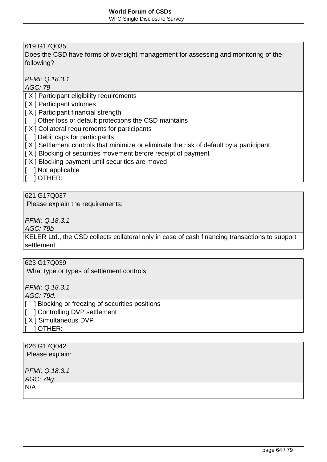Does the CSD have forms of oversight management for assessing and monitoring of the following?

PFMI: Q.18.3.1

AGC: 79

[ X ] Participant eligibility requirements

- [ X ] Participant volumes
- $[X]$  Participant financial strength
- [ ] Other loss or default protections the CSD maintains
- $[X]$  Collateral requirements for participants
- [ ] Debit caps for participants
- $[X]$  Settlement controls that minimize or eliminate the risk of default by a participant
- $[X]$  Blocking of securities movement before receipt of payment
- $[X]$  Blocking payment until securities are moved
- [ ] Not applicable
- [ ] OTHER:

621 G17Q037

Please explain the requirements:

PFMI: Q.18.3.1

AGC: 79b

KELER Ltd., the CSD collects collateral only in case of cash financing transactions to support settlement.

# 623 G17Q039

What type or types of settlement controls

PFMI: Q.18.3.1

AGC: 79d.

[ ] Blocking or freezing of securities positions

[ ] Controlling DVP settlement

[ X ] Simultaneous DVP

[ ] OTHER:

# 626 G17Q042

Please explain:

PFMI: Q.18.3.1

AGC: 79g.

 $N/A$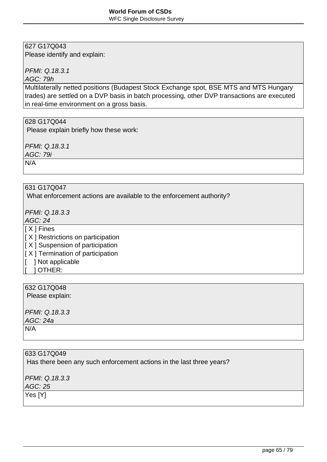Please identify and explain:

PFMI: Q.18.3.1

AGC: 79h

Multilaterally netted positions (Budapest Stock Exchange spot, BSE MTS and MTS Hungary trades) are settled on a DVP basis in batch processing, other DVP transactions are executed in real-time environment on a gross basis.

### 628 G17Q044

Please explain briefly how these work:

PFMI: Q.18.3.1

AGC: 79i

N/A

631 G17Q047

What enforcement actions are available to the enforcement authority?

PFMI: Q.18.3.3

AGC: 24

[ X ] Fines

 $[X]$  Restrictions on participation

 $[X]$  Suspension of participation

- $[X]$  Termination of participation
- [ ] Not applicable
- [ ] OTHER:

# 632 G17Q048

Please explain:

PFMI: Q.18.3.3 AGC: 24a N/A

633 G17Q049 Has there been any such enforcement actions in the last three years? PFMI: Q.18.3.3 AGC: 25 Yes [Y]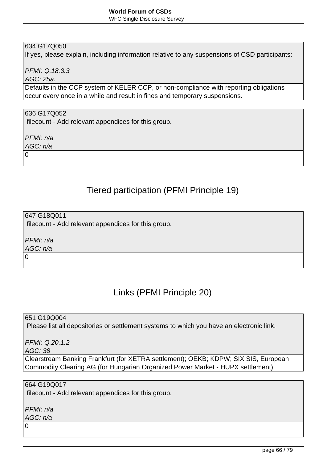If yes, please explain, including information relative to any suspensions of CSD participants:

PFMI: Q.18.3.3

AGC: 25a.

Defaults in the CCP system of KELER CCP, or non-compliance with reporting obligations occur every once in a while and result in fines and temporary suspensions.

### 636 G17Q052

filecount - Add relevant appendices for this group.

PFMI: n/a

AGC: n/a

 $\Omega$ 

# Tiered participation (PFMI Principle 19)

647 G18Q011 filecount - Add relevant appendices for this group.

PFMI: n/a

AGC: n/a

0

# Links (PFMI Principle 20)

651 G19Q004

Please list all depositories or settlement systems to which you have an electronic link.

PFMI: Q.20.1.2

AGC: 38

Clearstream Banking Frankfurt (for XETRA settlement); OEKB; KDPW; SIX SIS, European Commodity Clearing AG (for Hungarian Organized Power Market - HUPX settlement)

664 G19Q017

filecount - Add relevant appendices for this group.

PFMI: n/a AGC: n/a

 $\Omega$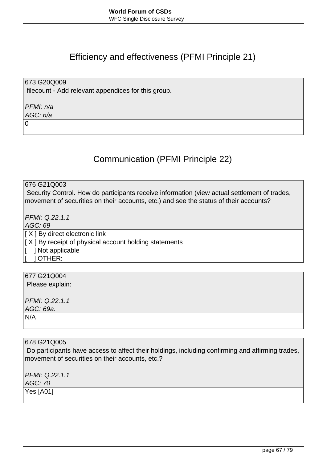# Efficiency and effectiveness (PFMI Principle 21)

673 G20Q009 filecount - Add relevant appendices for this group.

PFMI: n/a AGC: n/a

0

# Communication (PFMI Principle 22)

676 G21Q003

 Security Control. How do participants receive information (view actual settlement of trades, movement of securities on their accounts, etc.) and see the status of their accounts?

PFMI: Q.22.1.1

AGC: 69

[ X ] By direct electronic link

 $[X]$  By receipt of physical account holding statements

[ ] Not applicable

[ ] OTHER:

677 G21Q004 Please explain: PFMI: Q.22.1.1 AGC: 69a. N/A

678 G21Q005

 Do participants have access to affect their holdings, including confirming and affirming trades, movement of securities on their accounts, etc.?

PFMI: Q.22.1.1 AGC: 70 Yes [A01]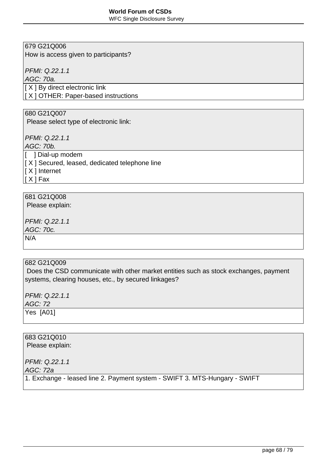WFC Single Disclosure Survey

# 679 G21Q006

How is access given to participants?

PFMI: Q.22.1.1

AGC: 70a.

[ X ] By direct electronic link

[ X ] OTHER: Paper-based instructions

#### 680 G21Q007

Please select type of electronic link:

PFMI: Q.22.1.1

AGC: 70b.

[ **] Dial-up modem** 

 $[X]$  Secured, leased, dedicated telephone line

[ X ] Internet

 $|$ [ X ] Fax

# 681 G21Q008

Please explain:

PFMI: Q.22.1.1

AGC: 70c.

N/A

### 682 G21Q009

 Does the CSD communicate with other market entities such as stock exchanges, payment systems, clearing houses, etc., by secured linkages?

PFMI: Q.22.1.1 AGC: 72 Yes [A01]

683 G21Q010 Please explain: PFMI: Q.22.1.1 AGC: 72a 1. Exchange - leased line 2. Payment system - SWIFT 3. MTS-Hungary - SWIFT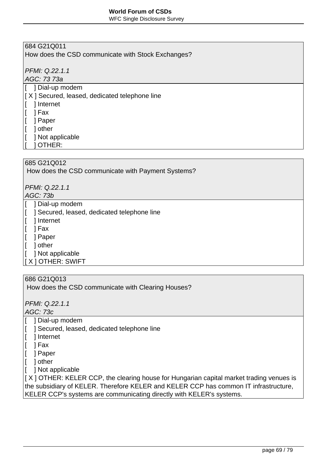WFC Single Disclosure Survey

# 684 G21Q011

How does the CSD communicate with Stock Exchanges?

PFMI: Q.22.1.1

AGC: 73 73a

- [ ] Dial-up modem
- $[X]$  Secured, leased, dedicated telephone line
- [ ] Internet
- [ ] Fax
- [ ] Paper
- [ ] other
- [ ] Not applicable
- [ ] OTHER:

# 685 G21Q012

How does the CSD communicate with Payment Systems?

PFMI: Q.22.1.1

AGC: 73b

- [  $|$  1 Dial-up modem
- [ ] Secured, leased, dedicated telephone line
- [ ] Internet
- $\begin{bmatrix} \end{bmatrix}$  Fax
- [ ] Paper
- [ ] other
- [ ] Not applicable
- [ X ] OTHER: SWIFT

### 686 G21Q013

How does the CSD communicate with Clearing Houses?

PFMI: Q.22.1.1

AGC: 73c

- [ ] Dial-up modem
- [ ] Secured, leased, dedicated telephone line
- [ ] Internet
- $\begin{bmatrix} 1 \\ 1 \end{bmatrix}$  Fax
- [ ] Paper
- [ ] other
- [ ] Not applicable

 $\left[ \right]$  X ] OTHER: KELER CCP, the clearing house for Hungarian capital market trading venues is the subsidiary of KELER. Therefore KELER and KELER CCP has common IT infrastructure, KELER CCP's systems are communicating directly with KELER's systems.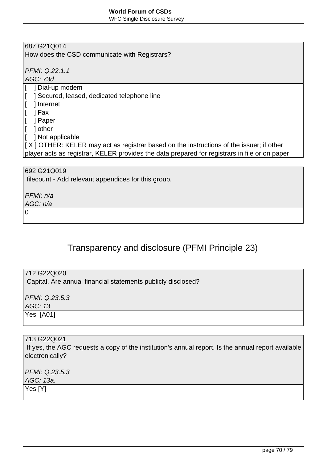WFC Single Disclosure Survey

# 687 G21Q014

How does the CSD communicate with Registrars?

PFMI: Q.22.1.1

AGC: 73d

- [ ] Dial-up modem
- [ ] Secured, leased, dedicated telephone line
- [ ] Internet
- $[$  ] Fax
- [ ] Paper
- [ ] other
- [ ] Not applicable

[ X ] OTHER: KELER may act as registrar based on the instructions of the issuer; if other player acts as registrar, KELER provides the data prepared for registrars in file or on paper

692 G21Q019

filecount - Add relevant appendices for this group.

PFMI: n/a

AGC: n/a

 $\Omega$ 

# Transparency and disclosure (PFMI Principle 23)

712 G22Q020 Capital. Are annual financial statements publicly disclosed?

PFMI: Q.23.5.3 AGC: 13 Yes [A01]

713 G22Q021 If yes, the AGC requests a copy of the institution's annual report. Is the annual report available electronically?

PFMI: Q.23.5.3 AGC: 13a. Yes [Y]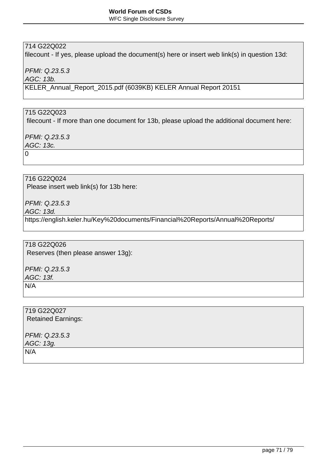# 714 G22Q022

filecount - If yes, please upload the document(s) here or insert web link(s) in question 13d:

PFMI: Q.23.5.3

AGC: 13b.

KELER\_Annual\_Report\_2015.pdf (6039KB) KELER Annual Report 20151

# 715 G22Q023

filecount - If more than one document for 13b, please upload the additional document here:

PFMI: Q.23.5.3

AGC: 13c.

0

716 G22Q024

Please insert web link(s) for 13b here:

PFMI: Q.23.5.3

AGC: 13d.

https://english.keler.hu/Key%20documents/Financial%20Reports/Annual%20Reports/

718 G22Q026 Reserves (then please answer 13g):

PFMI: Q.23.5.3 AGC: 13f. N/A

719 G22Q027 Retained Earnings:

PFMI: Q.23.5.3 AGC: 13g. N/A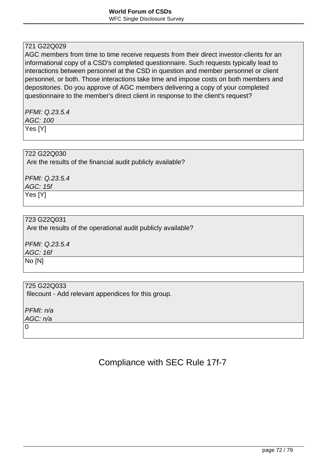# 721 G22Q029

AGC members from time to time receive requests from their direct investor-clients for an informational copy of a CSD's completed questionnaire. Such requests typically lead to interactions between personnel at the CSD in question and member personnel or client personnel, or both. Those interactions take time and impose costs on both members and depositories. Do you approve of AGC members delivering a copy of your completed questionnaire to the member's direct client in response to the client's request?

PFMI: Q.23.5.4 AGC: 100 Yes [Y]

#### 722 G22Q030

Are the results of the financial audit publicly available?

PFMI: Q.23.5.4 AGC: 15f Yes [Y]

## 723 G22Q031

Are the results of the operational audit publicly available?

PFMI: Q.23.5.4 AGC: 16f

No [N]

#### 725 G22Q033

filecount - Add relevant appendices for this group.

PFMI: n/a AGC: n/a

 $\Omega$ 

# Compliance with SEC Rule 17f-7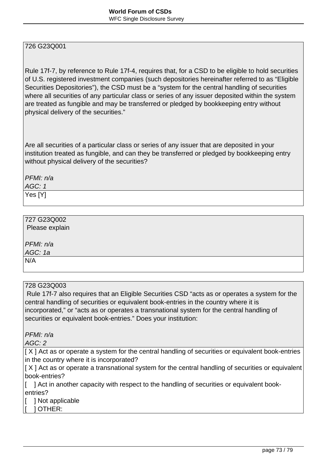Rule 17f-7, by reference to Rule 17f-4, requires that, for a CSD to be eligible to hold securities of U.S. registered investment companies (such depositories hereinafter referred to as "Eligible Securities Depositories"), the CSD must be a "system for the central handling of securities where all securities of any particular class or series of any issuer deposited within the system are treated as fungible and may be transferred or pledged by bookkeeping entry without physical delivery of the securities."

Are all securities of a particular class or series of any issuer that are deposited in your institution treated as fungible, and can they be transferred or pledged by bookkeeping entry without physical delivery of the securities?

PFMI: n/a

 $AGC: 1$ 

Yes [Y]

# 727 G23Q002

Please explain

PFMI: n/a AGC: 1a

N/A

### 728 G23Q003

 Rule 17f-7 also requires that an Eligible Securities CSD "acts as or operates a system for the central handling of securities or equivalent book-entries in the country where it is incorporated," or "acts as or operates a transnational system for the central handling of securities or equivalent book-entries." Does your institution:

PFMI: n/a

AGC: 2

[X] Act as or operate a system for the central handling of securities or equivalent book-entries in the country where it is incorporated?

[X] Act as or operate a transnational system for the central handling of securities or equivalent book-entries?

[ ] Act in another capacity with respect to the handling of securities or equivalent bookentries?

[ ] Not applicable

[ ] OTHER: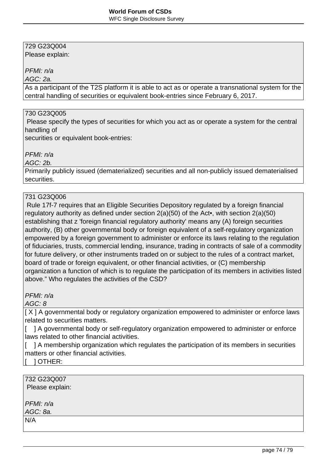Please explain:

### PFMI: n/a

AGC: 2a.

As a participant of the T2S platform it is able to act as or operate a transnational system for the central handling of securities or equivalent book-entries since February 6, 2017.

### 730 G23Q005

 Please specify the types of securities for which you act as or operate a system for the central handling of

securities or equivalent book-entries:

PFMI: n/a

AGC: 2b.

Primarily publicly issued (dematerialized) securities and all non-publicly issued dematerialised securities.

## 731 G23Q006

 Rule 17f-7 requires that an Eligible Securities Depository regulated by a foreign financial regulatory authority as defined under section 2(a)(50) of the Act•, with section 2(a)(50) establishing that z 'foreign financial regulatory authority' means any (A) foreign securities authority, (B) other governmental body or foreign equivalent of a self-regulatory organization empowered by a foreign government to administer or enforce its laws relating to the regulation of fiduciaries, trusts, commercial lending, insurance, trading in contracts of sale of a commodity for future delivery, or other instruments traded on or subject to the rules of a contract market, board of trade or foreign equivalent, or other financial activities, or (C) membership organization a function of which is to regulate the participation of its members in activities listed above." Who regulates the activities of the CSD?

PFMI: n/a

AGC: 8

[ $X$ ] A governmental body or regulatory organization empowered to administer or enforce laws related to securities matters.

[ ] A governmental body or self-regulatory organization empowered to administer or enforce laws related to other financial activities.

[ ] A membership organization which regulates the participation of its members in securities matters or other financial activities.

[ ] OTHER:

732 G23Q007 Please explain:

PFMI: n/a

AGC: 8a.

N/A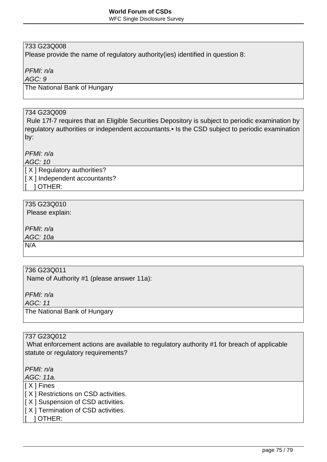Please provide the name of regulatory authority(ies) identified in question 8:

PFMI: n/a

AGC: 9

The National Bank of Hungary

## 734 G23Q009

 Rule 17f-7 requires that an Eligible Securities Depository is subject to periodic examination by regulatory authorities or independent accountants.• Is the CSD subject to periodic examination by:

PFMI: n/a

AGC: 10

[ X ] Regulatory authorities?

[ X ] Independent accountants?

[ ] OTHER:

# 735 G23Q010

Please explain:

PFMI: n/a

AGC: 10a

N/A

### 736 G23Q011

Name of Authority #1 (please answer 11a):

PFMI: n/a

AGC: 11

The National Bank of Hungary

### 737 G23Q012

 What enforcement actions are available to regulatory authority #1 for breach of applicable statute or regulatory requirements?

PFMI: n/a

AGC: 11a.

[ X ] Fines

- [ X ] Restrictions on CSD activities.
- $[X]$  Suspension of CSD activities.
- $[X]$  Termination of CSD activities.

[ ] OTHER: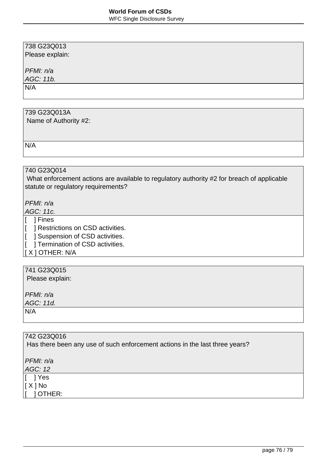Please explain:

PFMI: n/a

AGC: 11b.

N/A

# 739 G23Q013A

Name of Authority #2:

 $N/A$ 

# 740 G23Q014

 What enforcement actions are available to regulatory authority #2 for breach of applicable statute or regulatory requirements?

PFMI: n/a

AGC: 11c.

[ ] Fines

[ ] Restrictions on CSD activities.

[ ] Suspension of CSD activities.

**T** ] Termination of CSD activities.

 $\vert$  [ X ] OTHER: N/A

# 741 G23Q015

Please explain:

PFMI: n/a

AGC: 11d.

 $N/A$ 

| 742 G23Q016                                                                 |  |
|-----------------------------------------------------------------------------|--|
| Has there been any use of such enforcement actions in the last three years? |  |
|                                                                             |  |
| PFMI: n/a                                                                   |  |
| AGC: 12                                                                     |  |
| 1 Yes                                                                       |  |
| [ X ] No                                                                    |  |
| <b>OTHER:</b>                                                               |  |
|                                                                             |  |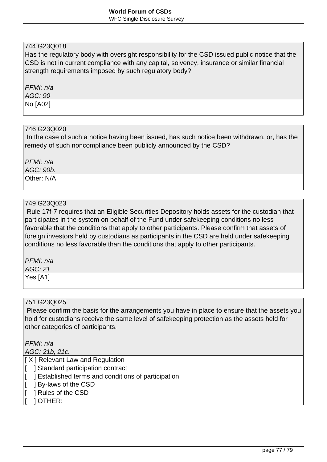Has the regulatory body with oversight responsibility for the CSD issued public notice that the CSD is not in current compliance with any capital, solvency, insurance or similar financial strength requirements imposed by such regulatory body?

PFMI: n/a

AGC: 90

No [A02]

#### 746 G23Q020

 In the case of such a notice having been issued, has such notice been withdrawn, or, has the remedy of such noncompliance been publicly announced by the CSD?

PFMI: n/a

AGC: 90b.

Other: N/A

## 749 G23Q023

 Rule 17f-7 requires that an Eligible Securities Depository holds assets for the custodian that participates in the system on behalf of the Fund under safekeeping conditions no less favorable that the conditions that apply to other participants. Please confirm that assets of foreign investors held by custodians as participants in the CSD are held under safekeeping conditions no less favorable than the conditions that apply to other participants.

PFMI: n/a

AGC: 21 Yes [A1]

#### 751 G23Q025

 Please confirm the basis for the arrangements you have in place to ensure that the assets you hold for custodians receive the same level of safekeeping protection as the assets held for other categories of participants.

PFMI: n/a

AGC: 21b, 21c.

[ $X$ ] Relevant Law and Regulation

- [ ] Standard participation contract
- [ ] Established terms and conditions of participation
- [ ] By-laws of the CSD
- [ ] Rules of the CSD
- $1$  OTHER: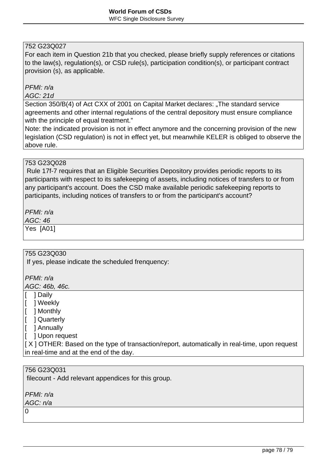For each item in Question 21b that you checked, please briefly supply references or citations to the law(s), regulation(s), or CSD rule(s), participation condition(s), or participant contract provision (s), as applicable.

# PFMI: n/a

#### AGC: 21d

Section 350/B(4) of Act CXX of 2001 on Capital Market declares: "The standard service agreements and other internal regulations of the central depository must ensure compliance with the principle of equal treatment."

Note: the indicated provision is not in effect anymore and the concerning provision of the new legislation (CSD regulation) is not in effect yet, but meanwhile KELER is obliged to observe the above rule.

### 753 G23Q028

 Rule 17f-7 requires that an Eligible Securities Depository provides periodic reports to its participants with respect to its safekeeping of assets, including notices of transfers to or from any participant's account. Does the CSD make available periodic safekeeping reports to participants, including notices of transfers to or from the participant's account?

PFMI: n/a

 $AGC: 46$ 

Yes [A01]

### 755 G23Q030

If yes, please indicate the scheduled frenquency:

PFMI: n/a

AGC: 46b, 46c.

[ ] Daily

[ ] Weekly

[ ] Monthly

[ ] Quarterly

[ ] Annually

[ ] Upon request

[X] OTHER: Based on the type of transaction/report, automatically in real-time, upon request in real-time and at the end of the day.

### 756 G23Q031

filecount - Add relevant appendices for this group.

PFMI: n/a

AGC: n/a  $\overline{0}$ 

page 78 / 79